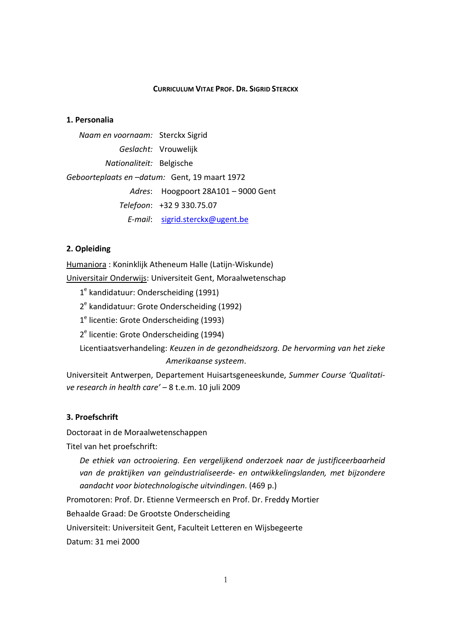#### **CURRICULUM VITAE PROF. DR. SIGRID STERCKX**

#### **1. Personalia**

*Naam en voornaam:* Sterckx Sigrid *Geslacht:* Vrouwelijk *Nationaliteit:* Belgische *Geboorteplaats en –datum:* Gent, 19 maart 1972 *Adres*: Hoogpoort 28A101 – 9000 Gent *Telefoon*: +32 9 330.75.07 *E-mail*: sigrid.sterckx@ugent.be

#### **2. Opleiding**

Humaniora : Koninklijk Atheneum Halle (Latijn-Wiskunde)

Universitair Onderwijs: Universiteit Gent, Moraalwetenschap

1<sup>e</sup> kandidatuur: Onderscheiding (1991)

2<sup>e</sup> kandidatuur: Grote Onderscheiding (1992)

1<sup>e</sup> licentie: Grote Onderscheiding (1993)

2<sup>e</sup> licentie: Grote Onderscheiding (1994)

Licentiaatsverhandeling: *Keuzen in de gezondheidszorg. De hervorming van het zieke Amerikaanse systeem*.

Universiteit Antwerpen, Departement Huisartsgeneeskunde, *Summer Course 'Qualitative research in health care'* – 8 t.e.m. 10 juli 2009

#### **3. Proefschrift**

Doctoraat in de Moraalwetenschappen

Titel van het proefschrift:

*De ethiek van octrooiering. Een vergelijkend onderzoek naar de justificeerbaarheid van de praktijken van geïndustrialiseerde- en ontwikkelingslanden, met bijzondere aandacht voor biotechnologische uitvindingen*. (469 p.)

Promotoren: Prof. Dr. Etienne Vermeersch en Prof. Dr. Freddy Mortier

Behaalde Graad: De Grootste Onderscheiding

Universiteit: Universiteit Gent, Faculteit Letteren en Wijsbegeerte

Datum: 31 mei 2000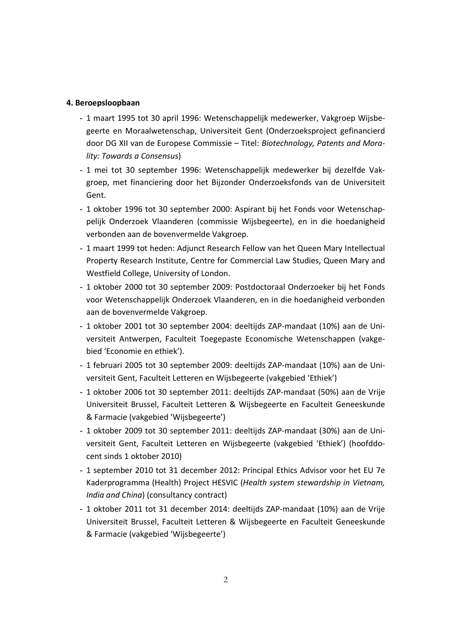#### **4. Beroepsloopbaan**

- 1 maart 1995 tot 30 april 1996: Wetenschappelijk medewerker, Vakgroep Wijsbegeerte en Moraalwetenschap, Universiteit Gent (Onderzoeksproject gefinancierd door DG XII van de Europese Commissie – Titel: *Biotechnology, Patents and Morality: Towards a Consensus*)
- 1 mei tot 30 september 1996: Wetenschappelijk medewerker bij dezelfde Vakgroep, met financiering door het Bijzonder Onderzoeksfonds van de Universiteit Gent.
- 1 oktober 1996 tot 30 september 2000: Aspirant bij het Fonds voor Wetenschappelijk Onderzoek Vlaanderen (commissie Wijsbegeerte), en in die hoedanigheid verbonden aan de bovenvermelde Vakgroep.
- 1 maart 1999 tot heden: Adjunct Research Fellow van het Queen Mary Intellectual Property Research Institute, Centre for Commercial Law Studies, Queen Mary and Westfield College, University of London.
- 1 oktober 2000 tot 30 september 2009: Postdoctoraal Onderzoeker bij het Fonds voor Wetenschappelijk Onderzoek Vlaanderen, en in die hoedanigheid verbonden aan de bovenvermelde Vakgroep.
- 1 oktober 2001 tot 30 september 2004: deeltijds ZAP-mandaat (10%) aan de Universiteit Antwerpen, Faculteit Toegepaste Economische Wetenschappen (vakgebied 'Economie en ethiek').
- 1 februari 2005 tot 30 september 2009: deeltijds ZAP-mandaat (10%) aan de Universiteit Gent, Faculteit Letteren en Wijsbegeerte (vakgebied 'Ethiek')
- 1 oktober 2006 tot 30 september 2011: deeltijds ZAP-mandaat (50%) aan de Vrije Universiteit Brussel, Faculteit Letteren & Wijsbegeerte en Faculteit Geneeskunde & Farmacie (vakgebied 'Wijsbegeerte')
- 1 oktober 2009 tot 30 september 2011: deeltijds ZAP-mandaat (30%) aan de Universiteit Gent, Faculteit Letteren en Wijsbegeerte (vakgebied 'Ethiek') (hoofddocent sinds 1 oktober 2010)
- 1 september 2010 tot 31 december 2012: Principal Ethics Advisor voor het EU 7e Kaderprogramma (Health) Project HESVIC (*Health system stewardship in Vietnam, India and China*) (consultancy contract)
- 1 oktober 2011 tot 31 december 2014: deeltijds ZAP-mandaat (10%) aan de Vrije Universiteit Brussel, Faculteit Letteren & Wijsbegeerte en Faculteit Geneeskunde & Farmacie (vakgebied 'Wijsbegeerte')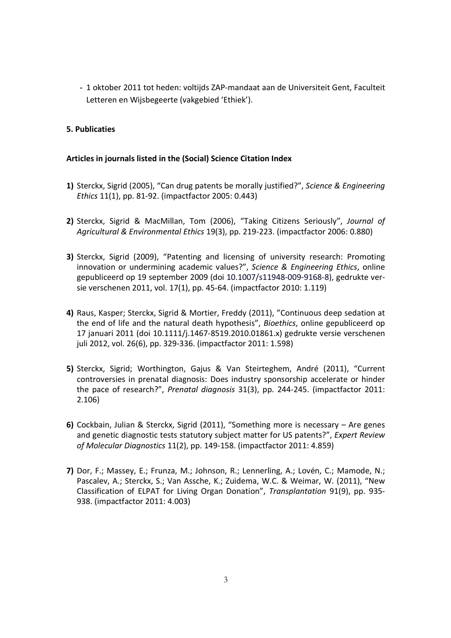- 1 oktober 2011 tot heden: voltijds ZAP-mandaat aan de Universiteit Gent, Faculteit Letteren en Wijsbegeerte (vakgebied 'Ethiek').

## **5. Publicaties**

## **Articles in journals listed in the (Social) Science Citation Index**

- **1)** Sterckx, Sigrid (2005), "Can drug patents be morally justified?", *Science & Engineering Ethics* 11(1), pp. 81-92. (impactfactor 2005: 0.443)
- **2)** Sterckx, Sigrid & MacMillan, Tom (2006), "Taking Citizens Seriously", *Journal of Agricultural & Environmental Ethics* 19(3), pp. 219-223. (impactfactor 2006: 0.880)
- **3)** Sterckx, Sigrid (2009), "Patenting and licensing of university research: Promoting innovation or undermining academic values?", *Science & Engineering Ethics*, online gepubliceerd op 19 september 2009 (doi 10.1007/s11948-009-9168-8), gedrukte versie verschenen 2011, vol. 17(1), pp. 45-64. (impactfactor 2010: 1.119)
- **4)** Raus, Kasper; Sterckx, Sigrid & Mortier, Freddy (2011), "Continuous deep sedation at the end of life and the natural death hypothesis", *Bioethics*, online gepubliceerd op 17 januari 2011 (doi 10.1111/j.1467-8519.2010.01861.x) gedrukte versie verschenen juli 2012, vol. 26(6), pp. 329-336. (impactfactor 2011: 1.598)
- **5)** Sterckx, Sigrid; Worthington, Gajus & Van Steirteghem, André (2011), "Current controversies in prenatal diagnosis: Does industry sponsorship accelerate or hinder the pace of research?", *Prenatal diagnosis* 31(3), pp. 244-245. (impactfactor 2011: 2.106)
- **6)** Cockbain, Julian & Sterckx, Sigrid (2011), "Something more is necessary Are genes and genetic diagnostic tests statutory subject matter for US patents?", *Expert Review of Molecular Diagnostics* 11(2), pp. 149-158. (impactfactor 2011: 4.859)
- **7)** Dor, F.; Massey, E.; Frunza, M.; Johnson, R.; Lennerling, A.; Lovén, C.; Mamode, N.; Pascalev, A.; Sterckx, S.; Van Assche, K.; Zuidema, W.C. & Weimar, W. (2011), "New Classification of ELPAT for Living Organ Donation", *Transplantation* 91(9), pp. 935- 938. (impactfactor 2011: 4.003)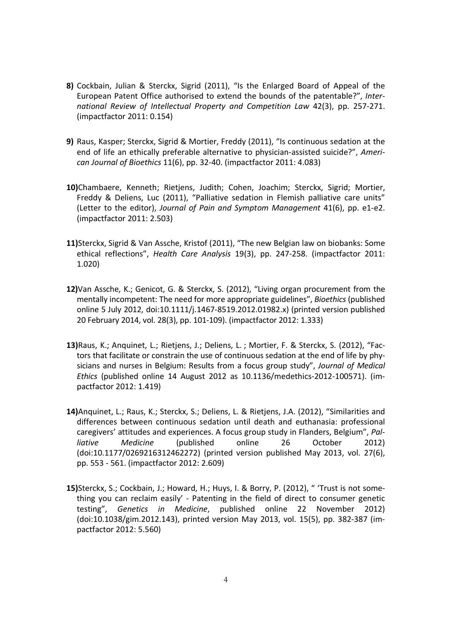- **8)** Cockbain, Julian & Sterckx, Sigrid (2011), "Is the Enlarged Board of Appeal of the European Patent Office authorised to extend the bounds of the patentable?", *International Review of Intellectual Property and Competition Law* 42(3), pp. 257-271. (impactfactor 2011: 0.154)
- **9)** Raus, Kasper; Sterckx, Sigrid & Mortier, Freddy (2011), "Is continuous sedation at the end of life an ethically preferable alternative to physician-assisted suicide?", *American Journal of Bioethics* 11(6), pp. 32-40. (impactfactor 2011: 4.083)
- **10)**Chambaere, Kenneth; Rietjens, Judith; Cohen, Joachim; Sterckx, Sigrid; Mortier, Freddy & Deliens, Luc (2011), "Palliative sedation in Flemish palliative care units" (Letter to the editor), *Journal of Pain and Symptom Management* 41(6), pp. e1-e2. (impactfactor 2011: 2.503)
- **11)**Sterckx, Sigrid & Van Assche, Kristof (2011), "The new Belgian law on biobanks: Some ethical reflections", *Health Care Analysis* 19(3), pp. 247-258. (impactfactor 2011: 1.020)
- **12)**Van Assche, K.; Genicot, G. & Sterckx, S. (2012), "Living organ procurement from the mentally incompetent: The need for more appropriate guidelines", *Bioethics* (published online 5 July 2012, doi:10.1111/j.1467-8519.2012.01982.x) (printed version published 20 February 2014, vol. 28(3), pp. 101-109). (impactfactor 2012: 1.333)
- **13)**Raus, K.; Anquinet, L.; Rietjens, J.; Deliens, L. ; Mortier, F. & Sterckx, S. (2012), "Factors that facilitate or constrain the use of continuous sedation at the end of life by physicians and nurses in Belgium: Results from a focus group study", *Journal of Medical Ethics* (published online 14 August 2012 as 10.1136/medethics-2012-100571). (impactfactor 2012: 1.419)
- **14)**Anquinet, L.; Raus, K.; Sterckx, S.; Deliens, L. & Rietjens, J.A. (2012), "Similarities and differences between continuous sedation until death and euthanasia: professional caregivers' attitudes and experiences. A focus group study in Flanders, Belgium", *Palliative Medicine* (published online 26 October 2012) (doi:10.1177/0269216312462272) (printed version published May 2013, vol. 27(6), pp. 553 - 561. (impactfactor 2012: 2.609)
- **15)**Sterckx, S.; Cockbain, J.; Howard, H.; Huys, I. & Borry, P. (2012), " 'Trust is not something you can reclaim easily' - Patenting in the field of direct to consumer genetic testing", *Genetics in Medicine*, published online 22 November 2012) (doi:10.1038/gim.2012.143), printed version May 2013, vol. 15(5), pp. 382-387 (impactfactor 2012: 5.560)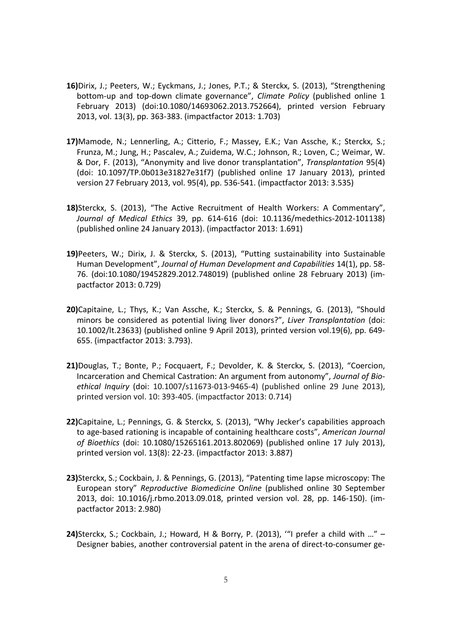- **16)**Dirix, J.; Peeters, W.; Eyckmans, J.; Jones, P.T.; & Sterckx, S. (2013), "Strengthening bottom-up and top-down climate governance", *Climate Policy* (published online 1 February 2013) (doi:10.1080/14693062.2013.752664), printed version February 2013, vol. 13(3), pp. 363-383. (impactfactor 2013: 1.703)
- **17)**Mamode, N.; Lennerling, A.; Citterio, F.; Massey, E.K.; Van Assche, K.; Sterckx, S.; Frunza, M.; Jung, H.; Pascalev, A.; Zuidema, W.C.; Johnson, R.; Loven, C.; Weimar, W. & Dor, F. (2013), "Anonymity and live donor transplantation", *Transplantation* 95(4) (doi: 10.1097/TP.0b013e31827e31f7) (published online 17 January 2013), printed version 27 February 2013, vol. 95(4), pp. 536-541. (impactfactor 2013: 3.535)
- **18)**Sterckx, S. (2013), "The Active Recruitment of Health Workers: A Commentary", *Journal of Medical Ethics* 39, pp. 614-616 (doi: 10.1136/medethics-2012-101138) (published online 24 January 2013). (impactfactor 2013: 1.691)
- **19)**Peeters, W.; Dirix, J. & Sterckx, S. (2013), "Putting sustainability into Sustainable Human Development", *Journal of Human Development and Capabilities* 14(1), pp. 58- 76. (doi:10.1080/19452829.2012.748019) (published online 28 February 2013) (impactfactor 2013: 0.729)
- **20)**Capitaine, L.; Thys, K.; Van Assche, K.; Sterckx, S. & Pennings, G. (2013), "Should minors be considered as potential living liver donors?", *Liver Transplantation* (doi: 10.1002/lt.23633) (published online 9 April 2013), printed version vol.19(6), pp. 649- 655. (impactfactor 2013: 3.793).
- **21)**Douglas, T.; Bonte, P.; Focquaert, F.; Devolder, K. & Sterckx, S. (2013), "Coercion, Incarceration and Chemical Castration: An argument from autonomy", *Journal of Bioethical Inquiry* (doi: 10.1007/s11673-013-9465-4) (published online 29 June 2013), printed version vol. 10: 393-405. (impactfactor 2013: 0.714)
- **22)**Capitaine, L.; Pennings, G. & Sterckx, S. (2013), "Why Jecker's capabilities approach to age-based rationing is incapable of containing healthcare costs", *American Journal of Bioethics* (doi: 10.1080/15265161.2013.802069) (published online 17 July 2013), printed version vol. 13(8): 22-23. (impactfactor 2013: 3.887)
- **23)**Sterckx, S.; Cockbain, J. & Pennings, G. (2013), "Patenting time lapse microscopy: The European story" *Reproductive Biomedicine* O*nline* (published online 30 September 2013, doi: 10.1016/j.rbmo.2013.09.018, printed version vol. 28, pp. 146-150). (impactfactor 2013: 2.980)
- **24)**Sterckx, S.; Cockbain, J.; Howard, H & Borry, P. (2013), '"I prefer a child with …" Designer babies, another controversial patent in the arena of direct-to-consumer ge-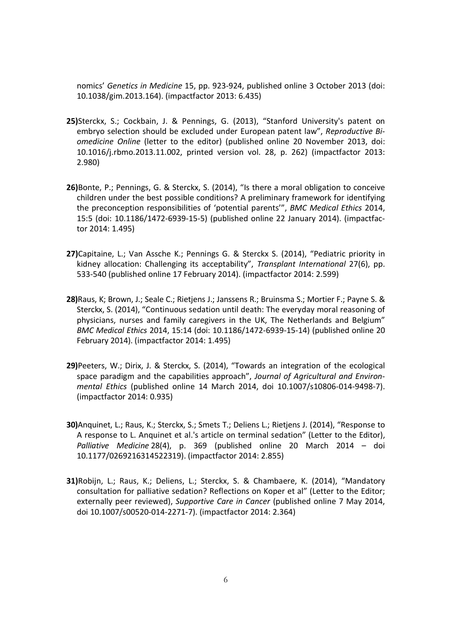nomics' *Genetics in Medicine* 15, pp. 923-924, published online 3 October 2013 (doi: 10.1038/gim.2013.164). (impactfactor 2013: 6.435)

- **25)**Sterckx, S.; Cockbain, J. & Pennings, G. (2013), "Stanford University's patent on embryo selection should be excluded under European patent law", *Reproductive Biomedicine Online* (letter to the editor) (published online 20 November 2013, doi: 10.1016/j.rbmo.2013.11.002, printed version vol. 28, p. 262) (impactfactor 2013: 2.980)
- **26)**Bonte, P.; Pennings, G. & Sterckx, S. (2014), "Is there a moral obligation to conceive children under the best possible conditions? A preliminary framework for identifying the preconception responsibilities of 'potential parents'", *BMC Medical Ethics* 2014, 15:5 (doi: 10.1186/1472-6939-15-5) (published online 22 January 2014). (impactfactor 2014: 1.495)
- **27)**Capitaine, L.; Van Assche K.; Pennings G. & Sterckx S. (2014), "Pediatric priority in kidney allocation: Challenging its acceptability", *Transplant International* 27(6), pp. 533-540 (published online 17 February 2014). (impactfactor 2014: 2.599)
- **28)**Raus, K; Brown, J.; Seale C.; Rietjens J.; Janssens R.; Bruinsma S.; Mortier F.; Payne S. & Sterckx, S. (2014), "Continuous sedation until death: The everyday moral reasoning of physicians, nurses and family caregivers in the UK, The Netherlands and Belgium" *BMC Medical Ethics* 2014, 15:14 (doi: 10.1186/1472-6939-15-14) (published online 20 February 2014). (impactfactor 2014: 1.495)
- **29)**Peeters, W.; Dirix, J. & Sterckx, S. (2014), "Towards an integration of the ecological space paradigm and the capabilities approach", *Journal of Agricultural and Environmental Ethics* (published online 14 March 2014, doi 10.1007/s10806-014-9498-7). (impactfactor 2014: 0.935)
- **30)**Anquinet, L.; Raus, K.; Sterckx, S.; Smets T.; Deliens L.; Rietjens J. (2014), "Response to A response to L. Anquinet et al.'s article on terminal sedation" (Letter to the Editor), *Palliative Medicine* 28(4), p. 369 (published online 20 March 2014 – doi 10.1177/0269216314522319). (impactfactor 2014: 2.855)
- **31)**Robijn, L.; Raus, K.; Deliens, L.; Sterckx, S. & Chambaere, K. (2014), "Mandatory consultation for palliative sedation? Reflections on Koper et al" (Letter to the Editor; externally peer reviewed), *Supportive Care in Cancer* (published online 7 May 2014, doi 10.1007/s00520-014-2271-7). (impactfactor 2014: 2.364)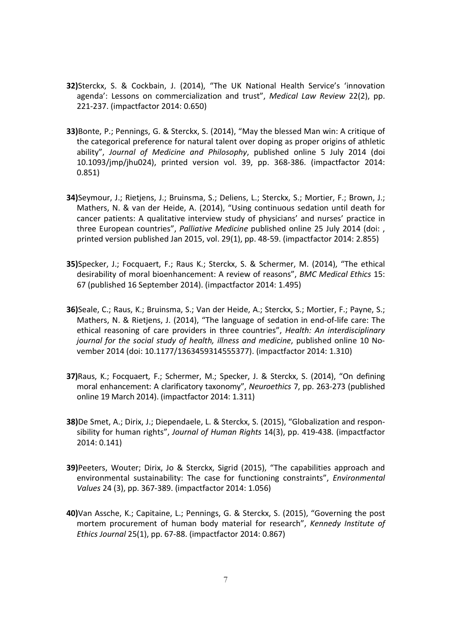- **32)**Sterckx, S. & Cockbain, J. (2014), "The UK National Health Service's 'innovation agenda': Lessons on commercialization and trust", *Medical Law Review* 22(2), pp. 221-237. (impactfactor 2014: 0.650)
- **33)**Bonte, P.; Pennings, G. & Sterckx, S. (2014), "May the blessed Man win: A critique of the categorical preference for natural talent over doping as proper origins of athletic ability", *Journal of Medicine and Philosophy*, published online 5 July 2014 (doi 10.1093/jmp/jhu024), printed version vol. 39, pp. 368-386. (impactfactor 2014: 0.851)
- **34)**Seymour, J.; Rietjens, J.; Bruinsma, S.; Deliens, L.; Sterckx, S.; Mortier, F.; Brown, J.; Mathers, N. & van der Heide, A. (2014), "Using continuous sedation until death for cancer patients: A qualitative interview study of physicians' and nurses' practice in three European countries", *Palliative Medicine* published online 25 July 2014 (doi: , printed version published Jan 2015, vol. 29(1), pp. 48-59. (impactfactor 2014: 2.855)
- **35)**Specker, J.; Focquaert, F.; Raus K.; Sterckx, S. & Schermer, M. (2014), "The ethical desirability of moral bioenhancement: A review of reasons", *BMC Medical Ethics* 15: 67 (published 16 September 2014). (impactfactor 2014: 1.495)
- **36)**Seale, C.; Raus, K.; Bruinsma, S.; Van der Heide, A.; Sterckx, S.; Mortier, F.; Payne, S.; Mathers, N. & Rietjens, J. (2014), "The language of sedation in end-of-life care: The ethical reasoning of care providers in three countries", *Health: An interdisciplinary journal for the social study of health, illness and medicine*, published online 10 November 2014 (doi: 10.1177/1363459314555377). (impactfactor 2014: 1.310)
- **37)**Raus, K.; Focquaert, F.; Schermer, M.; Specker, J. & Sterckx, S. (2014), "On defining moral enhancement: A clarificatory taxonomy", *Neuroethics* 7, pp. 263-273 (published online 19 March 2014). (impactfactor 2014: 1.311)
- **38)**De Smet, A.; Dirix, J.; Diependaele, L. & Sterckx, S. (2015), "Globalization and responsibility for human rights", *Journal of Human Rights* 14(3), pp. 419-438. (impactfactor 2014: 0.141)
- **39)**Peeters, Wouter; Dirix, Jo & Sterckx, Sigrid (2015), "The capabilities approach and environmental sustainability: The case for functioning constraints", *Environmental Values* 24 (3), pp. 367-389. (impactfactor 2014: 1.056)
- **40)**Van Assche, K.; Capitaine, L.; Pennings, G. & Sterckx, S. (2015), "Governing the post mortem procurement of human body material for research", *Kennedy Institute of Ethics Journal* 25(1), pp. 67-88. (impactfactor 2014: 0.867)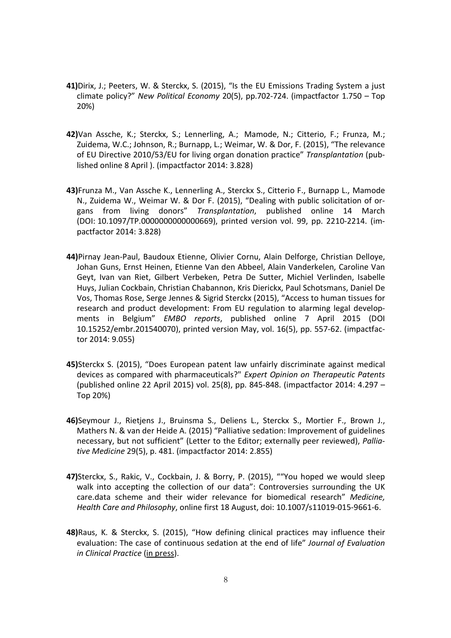- **41)**Dirix, J.; Peeters, W. & Sterckx, S. (2015), "Is the EU Emissions Trading System a just climate policy?" *New Political Economy* 20(5), pp.702-724. (impactfactor 1.750 – Top 20%)
- **42)**Van Assche, K.; Sterckx, S.; Lennerling, A.; Mamode, N.; Citterio, F.; Frunza, M.; Zuidema, W.C.; Johnson, R.; Burnapp, L.; Weimar, W. & Dor, F. (2015), "The relevance of EU Directive 2010/53/EU for living organ donation practice" *Transplantation* (published online 8 April ). (impactfactor 2014: 3.828)
- **43)**Frunza M., Van Assche K., Lennerling A., Sterckx S., Citterio F., Burnapp L., Mamode N., Zuidema W., Weimar W. & Dor F. (2015), "Dealing with public solicitation of organs from living donors" *Transplantation*, published online 14 March (DOI: 10.1097/TP.0000000000000669), printed version vol. 99, pp. 2210-2214. (impactfactor 2014: 3.828)
- **44)**Pirnay Jean-Paul, Baudoux Etienne, Olivier Cornu, Alain Delforge, Christian Delloye, Johan Guns, Ernst Heinen, Etienne Van den Abbeel, Alain Vanderkelen, Caroline Van Geyt, Ivan van Riet, Gilbert Verbeken, Petra De Sutter, Michiel Verlinden, Isabelle Huys, Julian Cockbain, Christian Chabannon, Kris Dierickx, Paul Schotsmans, Daniel De Vos, Thomas Rose, Serge Jennes & Sigrid Sterckx (2015), "Access to human tissues for research and product development: From EU regulation to alarming legal developments in Belgium" *EMBO reports*, published online 7 April 2015 (DOI 10.15252/embr.201540070), printed version May, vol. 16(5), pp. 557-62. (impactfactor 2014: 9.055)
- **45)**Sterckx S. (2015), "Does European patent law unfairly discriminate against medical devices as compared with pharmaceuticals?" *Expert Opinion on Therapeutic Patents* (published online 22 April 2015) vol. 25(8), pp. 845-848. (impactfactor 2014: 4.297 – Top 20%)
- **46)**Seymour J., Rietjens J., Bruinsma S., Deliens L., Sterckx S., Mortier F., Brown J., Mathers N. & van der Heide A. (2015) "Palliative sedation: Improvement of guidelines necessary, but not sufficient" (Letter to the Editor; externally peer reviewed), *Palliative Medicine* 29(5), p. 481. (impactfactor 2014: 2.855)
- **47)**Sterckx, S., Rakic, V., Cockbain, J. & Borry, P. (2015), ""You hoped we would sleep walk into accepting the collection of our data": Controversies surrounding the UK care.data scheme and their wider relevance for biomedical research" *Medicine, Health Care and Philosophy*, online first 18 August, doi: 10.1007/s11019-015-9661-6.
- **48)**Raus, K. & Sterckx, S. (2015), "How defining clinical practices may influence their evaluation: The case of continuous sedation at the end of life" *Journal of Evaluation in Clinical Practice* (in press).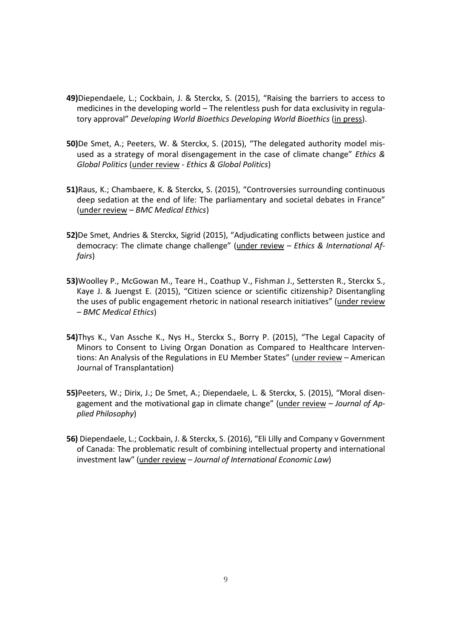- **49)**Diependaele, L.; Cockbain, J. & Sterckx, S. (2015), "Raising the barriers to access to medicines in the developing world – The relentless push for data exclusivity in regulatory approval" *Developing World Bioethics Developing World Bioethics* (in press).
- **50)**De Smet, A.; Peeters, W. & Sterckx, S. (2015), "The delegated authority model misused as a strategy of moral disengagement in the case of climate change" *Ethics & Global Politics* (under review - *Ethics & Global Politics*)
- **51)**Raus, K.; Chambaere, K. & Sterckx, S. (2015), "Controversies surrounding continuous deep sedation at the end of life: The parliamentary and societal debates in France" (under review – *BMC Medical Ethics*)
- **52)**De Smet, Andries & Sterckx, Sigrid (2015), "Adjudicating conflicts between justice and democracy: The climate change challenge" (under review – *Ethics & International Affairs*)
- **53)**Woolley P., McGowan M., Teare H., Coathup V., Fishman J., Settersten R., Sterckx S., Kaye J. & Juengst E. (2015), "Citizen science or scientific citizenship? Disentangling the uses of public engagement rhetoric in national research initiatives" (under review – *BMC Medical Ethics*)
- **54)**Thys K., Van Assche K., Nys H., Sterckx S., Borry P. (2015), "The Legal Capacity of Minors to Consent to Living Organ Donation as Compared to Healthcare Interventions: An Analysis of the Regulations in EU Member States" (under review - American Journal of Transplantation)
- **55)**Peeters, W.; Dirix, J.; De Smet, A.; Diependaele, L. & Sterckx, S. (2015), "Moral disengagement and the motivational gap in climate change" (under review – *Journal of Applied Philosophy*)
- **56)** Diependaele, L.; Cockbain, J. & Sterckx, S. (2016), "Eli Lilly and Company v Government of Canada: The problematic result of combining intellectual property and international investment law" (under review – *Journal of International Economic Law*)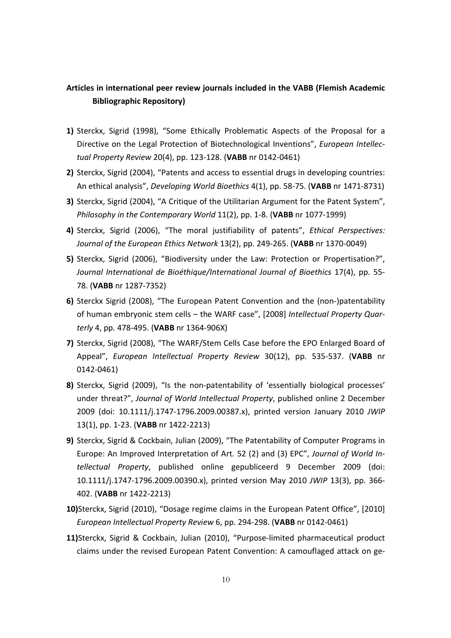# **Articles in international peer review journals included in the VABB (Flemish Academic Bibliographic Repository)**

- **1)** Sterckx, Sigrid (1998), "Some Ethically Problematic Aspects of the Proposal for a Directive on the Legal Protection of Biotechnological Inventions", *European Intellectual Property Review* 20(4), pp. 123-128. (**VABB** nr 0142-0461)
- **2)** Sterckx, Sigrid (2004), "Patents and access to essential drugs in developing countries: An ethical analysis", *Developing World Bioethics* 4(1), pp. 58-75. (**VABB** nr 1471-8731)
- **3)** Sterckx, Sigrid (2004), "A Critique of the Utilitarian Argument for the Patent System", *Philosophy in the Contemporary World* 11(2), pp. 1-8. (**VABB** nr 1077-1999)
- **4)** Sterckx, Sigrid (2006), "The moral justifiability of patents", *Ethical Perspectives: Journal of the European Ethics Network* 13(2), pp. 249-265. (**VABB** nr 1370-0049)
- **5)** Sterckx, Sigrid (2006), "Biodiversity under the Law: Protection or Propertisation?", *Journal International de Bioéthique/International Journal of Bioethics* 17(4), pp. 55- 78. (**VABB** nr 1287-7352)
- **6)** Sterckx Sigrid (2008), "The European Patent Convention and the (non-)patentability of human embryonic stem cells – the WARF case", [2008] *Intellectual Property Quarterly* 4, pp. 478-495. (**VABB** nr 1364-906X)
- **7)** Sterckx, Sigrid (2008), "The WARF/Stem Cells Case before the EPO Enlarged Board of Appeal", *European Intellectual Property Review* 30(12), pp. 535-537. (**VABB** nr 0142-0461)
- **8)** Sterckx, Sigrid (2009), "Is the non-patentability of 'essentially biological processes' under threat?", *Journal of World Intellectual Property*, published online 2 December 2009 (doi: 10.1111/j.1747-1796.2009.00387.x), printed version January 2010 *JWIP*  13(1), pp. 1-23. (**VABB** nr 1422-2213)
- **9)** Sterckx, Sigrid & Cockbain, Julian (2009), "The Patentability of Computer Programs in Europe: An Improved Interpretation of Art. 52 (2) and (3) EPC", *Journal of World Intellectual Property*, published online gepubliceerd 9 December 2009 (doi: 10.1111/j.1747-1796.2009.00390.x), printed version May 2010 *JWIP* 13(3), pp. 366- 402. (**VABB** nr 1422-2213)
- **10)**Sterckx, Sigrid (2010), "Dosage regime claims in the European Patent Office", [2010] *European Intellectual Property Review* 6, pp. 294-298. (**VABB** nr 0142-0461)
- **11)**Sterckx, Sigrid & Cockbain, Julian (2010), "Purpose-limited pharmaceutical product claims under the revised European Patent Convention: A camouflaged attack on ge-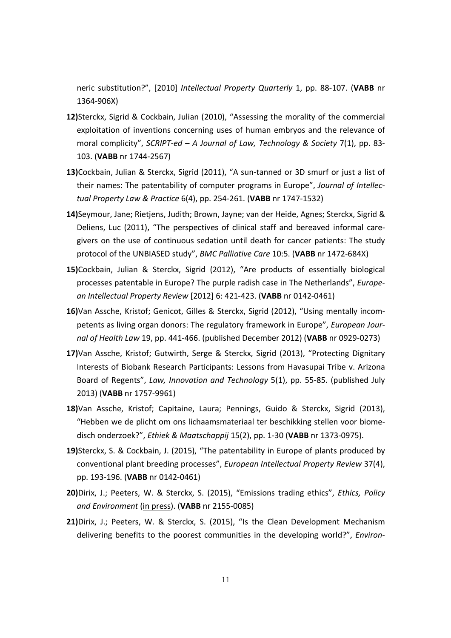neric substitution?", [2010] *Intellectual Property Quarterly* 1, pp. 88-107. (**VABB** nr 1364-906X)

- **12)**Sterckx, Sigrid & Cockbain, Julian (2010), "Assessing the morality of the commercial exploitation of inventions concerning uses of human embryos and the relevance of moral complicity", *SCRIPT-ed – A Journal of Law, Technology & Society* 7(1), pp. 83- 103. (**VABB** nr 1744-2567)
- **13)**Cockbain, Julian & Sterckx, Sigrid (2011), "A sun-tanned or 3D smurf or just a list of their names: The patentability of computer programs in Europe", *Journal of Intellectual Property Law & Practice* 6(4), pp. 254-261. (**VABB** nr 1747-1532)
- **14)**Seymour, Jane; Rietjens, Judith; Brown, Jayne; van der Heide, Agnes; Sterckx, Sigrid & Deliens, Luc (2011), "The perspectives of clinical staff and bereaved informal caregivers on the use of continuous sedation until death for cancer patients: The study protocol of the UNBIASED study", *BMC Palliative Care* 10:5. (**VABB** nr 1472-684X)
- **15)**Cockbain, Julian & Sterckx, Sigrid (2012), "Are products of essentially biological processes patentable in Europe? The purple radish case in The Netherlands", *European Intellectual Property Review* [2012] 6: 421-423. (**VABB** nr 0142-0461)
- **16)**Van Assche, Kristof; Genicot, Gilles & Sterckx, Sigrid (2012), "Using mentally incompetents as living organ donors: The regulatory framework in Europe", *European Journal of Health Law* 19, pp. 441-466. (published December 2012) (**VABB** nr 0929-0273)
- **17)**Van Assche, Kristof; Gutwirth, Serge & Sterckx, Sigrid (2013), "Protecting Dignitary Interests of Biobank Research Participants: Lessons from Havasupai Tribe v. Arizona Board of Regents", *Law, Innovation and Technology* 5(1), pp. 55-85. (published July 2013) (**VABB** nr 1757-9961)
- **18)**Van Assche, Kristof; Capitaine, Laura; Pennings, Guido & Sterckx, Sigrid (2013), "Hebben we de plicht om ons lichaamsmateriaal ter beschikking stellen voor biomedisch onderzoek?", *Ethiek & Maatschappij* 15(2), pp. 1-30 (**VABB** nr 1373-0975).
- **19)**Sterckx, S. & Cockbain, J. (2015), "The patentability in Europe of plants produced by conventional plant breeding processes", *European Intellectual Property Review* 37(4), pp. 193-196. (**VABB** nr 0142-0461)
- **20)**Dirix, J.; Peeters, W. & Sterckx, S. (2015), "Emissions trading ethics", *Ethics, Policy and Environment* (in press). (**VABB** nr 2155-0085)
- **21)**Dirix, J.; Peeters, W. & Sterckx, S. (2015), "Is the Clean Development Mechanism delivering benefits to the poorest communities in the developing world?", *Environ-*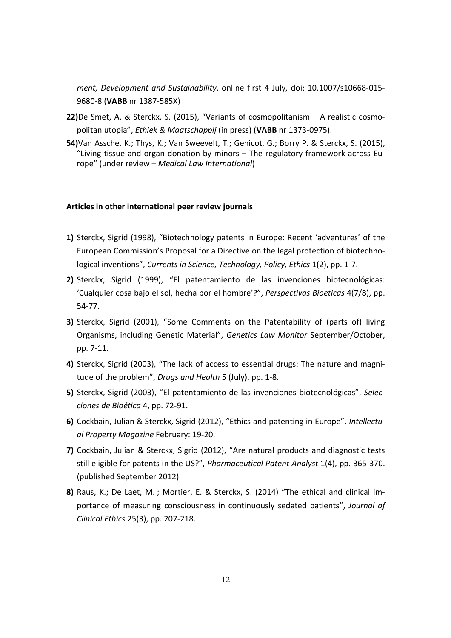*ment, Development and Sustainability*, online first 4 July, doi: 10.1007/s10668-015- 9680-8 (**VABB** nr 1387-585X)

- **22)**De Smet, A. & Sterckx, S. (2015), "Variants of cosmopolitanism A realistic cosmopolitan utopia", *Ethiek & Maatschappij* (in press) (**VABB** nr 1373-0975).
- **54)**Van Assche, K.; Thys, K.; Van Sweevelt, T.; Genicot, G.; Borry P. & Sterckx, S. (2015), "Living tissue and organ donation by minors – The regulatory framework across Europe" (under review – *Medical Law International*)

#### **Articles in other international peer review journals**

- **1)** Sterckx, Sigrid (1998), "Biotechnology patents in Europe: Recent 'adventures' of the European Commission's Proposal for a Directive on the legal protection of biotechnological inventions", *Currents in Science, Technology, Policy, Ethics* 1(2), pp. 1-7.
- **2)** Sterckx, Sigrid (1999), "El patentamiento de las invenciones biotecnológicas: 'Cualquier cosa bajo el sol, hecha por el hombre'?", *Perspectivas Bioeticas* 4(7/8), pp. 54-77.
- **3)** Sterckx, Sigrid (2001), "Some Comments on the Patentability of (parts of) living Organisms, including Genetic Material", *Genetics Law Monitor* September/October, pp. 7-11.
- **4)** Sterckx, Sigrid (2003), "The lack of access to essential drugs: The nature and magnitude of the problem", *Drugs and Health* 5 (July), pp. 1-8.
- **5)** Sterckx, Sigrid (2003), "El patentamiento de las invenciones biotecnológicas", *Selecciones de Bioética* 4, pp. 72-91.
- **6)** Cockbain, Julian & Sterckx, Sigrid (2012), "Ethics and patenting in Europe", *Intellectual Property Magazine* February: 19-20.
- **7)** Cockbain, Julian & Sterckx, Sigrid (2012), "Are natural products and diagnostic tests still eligible for patents in the US?", *Pharmaceutical Patent Analyst* 1(4), pp. 365-370. (published September 2012)
- **8)** Raus, K.; De Laet, M. ; Mortier, E. & Sterckx, S. (2014) "The ethical and clinical importance of measuring consciousness in continuously sedated patients", *Journal of Clinical Ethics* 25(3), pp. 207-218.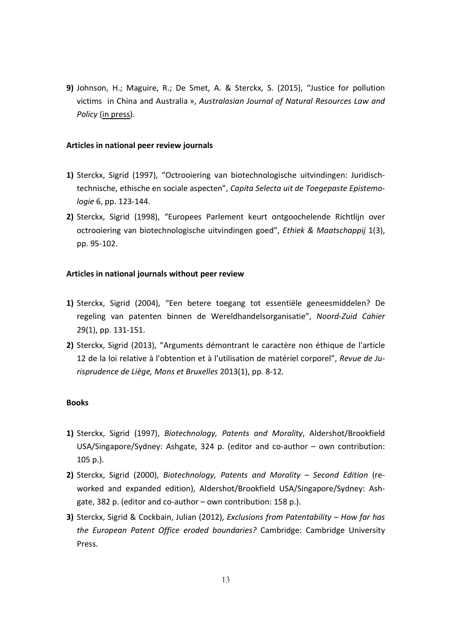**9)** Johnson, H.; Maguire, R.; De Smet, A. & Sterckx, S. (2015), "Justice for pollution victims in China and Australia », *Australasian Journal of Natural Resources Law and Policy* (in press).

#### **Articles in national peer review journals**

- **1)** Sterckx, Sigrid (1997), "Octrooiering van biotechnologische uitvindingen: Juridischtechnische, ethische en sociale aspecten", *Capita Selecta uit de Toegepaste Epistemologie* 6, pp. 123-144.
- **2)** Sterckx, Sigrid (1998), "Europees Parlement keurt ontgoochelende Richtlijn over octrooiering van biotechnologische uitvindingen goed", *Ethiek & Maatschappij* 1(3), pp. 95-102.

#### **Articles in national journals without peer review**

- **1)** Sterckx, Sigrid (2004), "Een betere toegang tot essentiële geneesmiddelen? De regeling van patenten binnen de Wereldhandelsorganisatie", *Noord-Zuid Cahier*  29(1), pp. 131-151.
- **2)** Sterckx, Sigrid (2013), "Arguments démontrant le caractère non éthique de l'article 12 de la loi relative à l'obtention et à l'utilisation de matériel corporel", *Revue de Jurisprudence de Liège, Mons et Bruxelles* 2013(1), pp. 8-12.

#### **Books**

- **1)** Sterckx, Sigrid (1997), *Biotechnology, Patents and Morality*, Aldershot/Brookfield USA/Singapore/Sydney: Ashgate, 324 p. (editor and co-author – own contribution: 105 p.).
- **2)** Sterckx, Sigrid (2000), *Biotechnology, Patents and Morality Second Edition* (reworked and expanded edition), Aldershot/Brookfield USA/Singapore/Sydney: Ashgate, 382 p. (editor and co-author – own contribution: 158 p.).
- **3)** Sterckx, Sigrid & Cockbain, Julian (2012), *Exclusions from Patentability How far has the European Patent Office eroded boundaries?* Cambridge: Cambridge University Press.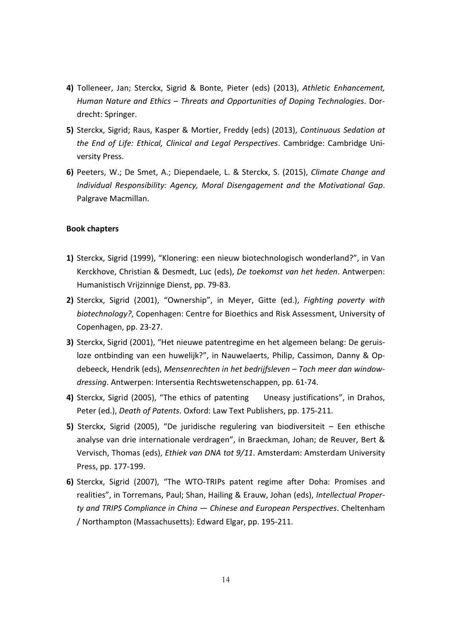- **4)** Tolleneer, Jan; Sterckx, Sigrid & Bonte, Pieter (eds) (2013), *Athletic Enhancement, Human Nature and Ethics – Threats and Opportunities of Doping Technologies*. Dordrecht: Springer.
- **5)** Sterckx, Sigrid; Raus, Kasper & Mortier, Freddy (eds) (2013), *Continuous Sedation at the End of Life: Ethical, Clinical and Legal Perspectives*. Cambridge: Cambridge University Press.
- **6)** Peeters, W.; De Smet, A.; Diependaele, L. & Sterckx, S. (2015), *Climate Change and Individual Responsibility: Agency, Moral Disengagement and the Motivational Gap*. Palgrave Macmillan.

#### **Book chapters**

- **1)** Sterckx, Sigrid (1999), "Klonering: een nieuw biotechnologisch wonderland?", in Van Kerckhove, Christian & Desmedt, Luc (eds), *De toekomst van het heden*. Antwerpen: Humanistisch Vrijzinnige Dienst, pp. 79-83.
- **2)** Sterckx, Sigrid (2001), "Ownership", in Meyer, Gitte (ed.), *Fighting poverty with biotechnology?*, Copenhagen: Centre for Bioethics and Risk Assessment, University of Copenhagen, pp. 23-27.
- **3)** Sterckx, Sigrid (2001), "Het nieuwe patentregime en het algemeen belang: De geruisloze ontbinding van een huwelijk?", in Nauwelaerts, Philip, Cassimon, Danny & Opdebeeck, Hendrik (eds), *Mensenrechten in het bedrijfsleven – Toch meer dan windowdressing*. Antwerpen: Intersentia Rechtswetenschappen, pp. 61-74.
- **4)** Sterckx, Sigrid (2005), "The ethics of patenting Uneasy justifications", in Drahos, Peter (ed.), *Death of Patents*. Oxford: Law Text Publishers, pp. 175-211.
- **5)** Sterckx, Sigrid (2005), "De juridische regulering van biodiversiteit Een ethische analyse van drie internationale verdragen", in Braeckman, Johan; de Reuver, Bert & Vervisch, Thomas (eds), *Ethiek van DNA tot 9/11*. Amsterdam: Amsterdam University Press, pp. 177-199.
- **6)** Sterckx, Sigrid (2007), "The WTO-TRIPs patent regime after Doha: Promises and realities", in Torremans, Paul; Shan, Hailing & Erauw, Johan (eds), *Intellectual Property and TRIPS Compliance in China — Chinese and European Perspectives. Cheltenham* / Northampton (Massachusetts): Edward Elgar, pp. 195-211.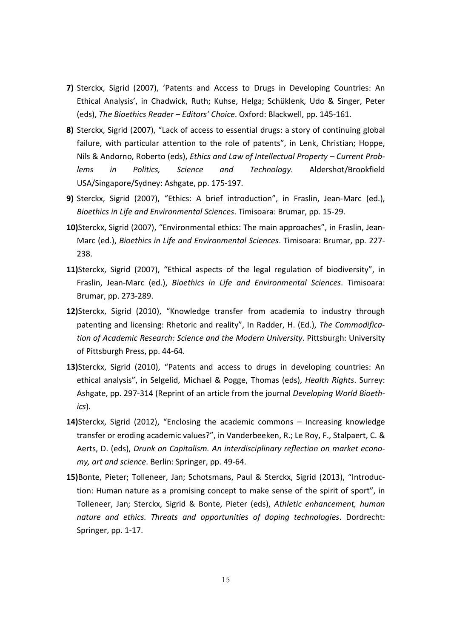- **7)** Sterckx, Sigrid (2007), 'Patents and Access to Drugs in Developing Countries: An Ethical Analysis', in Chadwick, Ruth; Kuhse, Helga; Schüklenk, Udo & Singer, Peter (eds), *The Bioethics Reader – Editors' Choice*. Oxford: Blackwell, pp. 145-161.
- **8)** Sterckx, Sigrid (2007), "Lack of access to essential drugs: a story of continuing global failure, with particular attention to the role of patents", in Lenk, Christian; Hoppe, Nils & Andorno, Roberto (eds), *Ethics and Law of Intellectual Property – Current Problems in Politics, Science and Technology*. Aldershot/Brookfield USA/Singapore/Sydney: Ashgate, pp. 175-197.
- **9)** Sterckx, Sigrid (2007), "Ethics: A brief introduction", in Fraslin, Jean-Marc (ed.), *Bioethics in Life and Environmental Sciences*. Timisoara: Brumar, pp. 15-29.
- **10)**Sterckx, Sigrid (2007), "Environmental ethics: The main approaches", in Fraslin, Jean-Marc (ed.), *Bioethics in Life and Environmental Sciences*. Timisoara: Brumar, pp. 227- 238.
- **11)**Sterckx, Sigrid (2007), "Ethical aspects of the legal regulation of biodiversity", in Fraslin, Jean-Marc (ed.), *Bioethics in Life and Environmental Sciences*. Timisoara: Brumar, pp. 273-289.
- **12)**Sterckx, Sigrid (2010), "Knowledge transfer from academia to industry through patenting and licensing: Rhetoric and reality", In Radder, H. (Ed.), *The Commodification of Academic Research: Science and the Modern University*. Pittsburgh: University of Pittsburgh Press, pp. 44-64.
- **13)**Sterckx, Sigrid (2010), "Patents and access to drugs in developing countries: An ethical analysis", in Selgelid, Michael & Pogge, Thomas (eds), *Health Rights*. Surrey: Ashgate, pp. 297-314 (Reprint of an article from the journal *Developing World Bioethics*).
- **14)**Sterckx, Sigrid (2012), "Enclosing the academic commons Increasing knowledge transfer or eroding academic values?", in Vanderbeeken, R.; Le Roy, F., Stalpaert, C. & Aerts, D. (eds), *Drunk on Capitalism. An interdisciplinary reflection on market economy, art and science*. Berlin: Springer, pp. 49-64.
- **15)**Bonte, Pieter; Tolleneer, Jan; Schotsmans, Paul & Sterckx, Sigrid (2013), "Introduction: Human nature as a promising concept to make sense of the spirit of sport", in Tolleneer, Jan; Sterckx, Sigrid & Bonte, Pieter (eds), *Athletic enhancement, human nature and ethics. Threats and opportunities of doping technologies*. Dordrecht: Springer, pp. 1-17.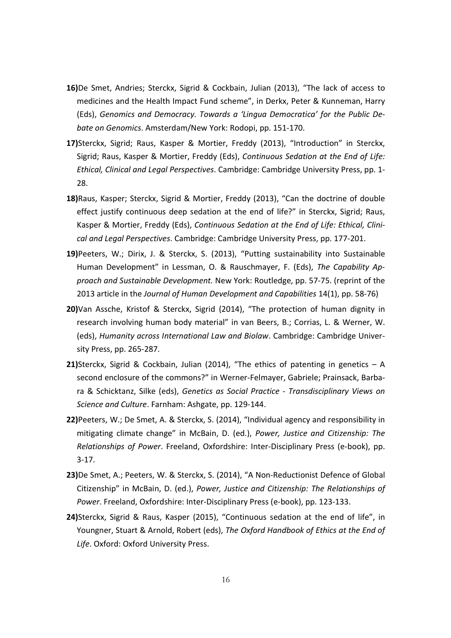- **16)**De Smet, Andries; Sterckx, Sigrid & Cockbain, Julian (2013), "The lack of access to medicines and the Health Impact Fund scheme", in Derkx, Peter & Kunneman, Harry (Eds), *Genomics and Democracy. Towards a 'Lingua Democratica' for the Public Debate on Genomics*. Amsterdam/New York: Rodopi, pp. 151-170.
- **17)**Sterckx, Sigrid; Raus, Kasper & Mortier, Freddy (2013), "Introduction" in Sterckx, Sigrid; Raus, Kasper & Mortier, Freddy (Eds), *Continuous Sedation at the End of Life: Ethical, Clinical and Legal Perspectives*. Cambridge: Cambridge University Press, pp. 1- 28.
- **18)**Raus, Kasper; Sterckx, Sigrid & Mortier, Freddy (2013), "Can the doctrine of double effect justify continuous deep sedation at the end of life?" in Sterckx, Sigrid; Raus, Kasper & Mortier, Freddy (Eds), *Continuous Sedation at the End of Life: Ethical, Clinical and Legal Perspectives*. Cambridge: Cambridge University Press, pp. 177-201.
- **19)**Peeters, W.; Dirix, J. & Sterckx, S. (2013), "Putting sustainability into Sustainable Human Development" in Lessman, O. & Rauschmayer, F. (Eds), *The Capability Approach and Sustainable Development.* New York: Routledge, pp. 57-75. (reprint of the 2013 article in the *Journal of Human Development and Capabilities* 14(1), pp. 58-76)
- **20)**Van Assche, Kristof & Sterckx, Sigrid (2014), "The protection of human dignity in research involving human body material" in van Beers, B.; Corrias, L. & Werner, W. (eds), *Humanity across International Law and Biolaw*. Cambridge: Cambridge University Press, pp. 265-287.
- **21)**Sterckx, Sigrid & Cockbain, Julian (2014), "The ethics of patenting in genetics A second enclosure of the commons?" in Werner-Felmayer, Gabriele; Prainsack, Barbara & Schicktanz, Silke (eds), *Genetics as Social Practice - Transdisciplinary Views on Science and Culture*. Farnham: Ashgate, pp. 129-144.
- **22)**Peeters, W.; De Smet, A. & Sterckx, S. (2014), "Individual agency and responsibility in mitigating climate change" in McBain, D. (ed.), *Power, Justice and Citizenship: The Relationships of Power*. Freeland, Oxfordshire: Inter-Disciplinary Press (e-book), pp. 3-17.
- **23)**De Smet, A.; Peeters, W. & Sterckx, S. (2014), "A Non-Reductionist Defence of Global Citizenship" in McBain, D. (ed.), *Power, Justice and Citizenship: The Relationships of Power*. Freeland, Oxfordshire: Inter-Disciplinary Press (e-book), pp. 123-133.
- **24)**Sterckx, Sigrid & Raus, Kasper (2015), "Continuous sedation at the end of life", in Youngner, Stuart & Arnold, Robert (eds), *The Oxford Handbook of Ethics at the End of Life*. Oxford: Oxford University Press.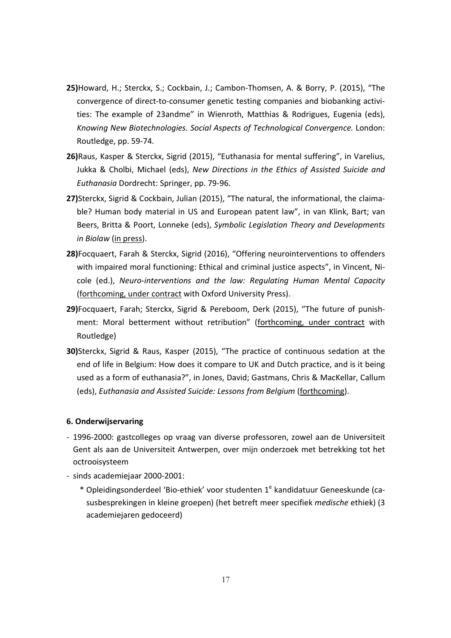- **25)**Howard, H.; Sterckx, S.; Cockbain, J.; Cambon-Thomsen, A. & Borry, P. (2015), "The convergence of direct-to-consumer genetic testing companies and biobanking activities: The example of 23andme" in Wienroth, Matthias & Rodrigues, Eugenia (eds), *Knowing New Biotechnologies. Social Aspects of Technological Convergence.* London: Routledge, pp. 59-74.
- **26)**Raus, Kasper & Sterckx, Sigrid (2015), "Euthanasia for mental suffering", in Varelius, Jukka & Cholbi, Michael (eds), *New Directions in the Ethics of Assisted Suicide and Euthanasia* Dordrecht: Springer, pp. 79-96.
- **27)**Sterckx, Sigrid & Cockbain, Julian (2015), "The natural, the informational, the claimable? Human body material in US and European patent law", in van Klink, Bart; van Beers, Britta & Poort, Lonneke (eds), *Symbolic Legislation Theory and Developments in Biolaw* (in press).
- **28)**Focquaert, Farah & Sterckx, Sigrid (2016), "Offering neurointerventions to offenders with impaired moral functioning: Ethical and criminal justice aspects", in Vincent, Nicole (ed.), *Neuro-interventions and the law: Regulating Human Mental Capacity* (forthcoming, under contract with Oxford University Press).
- **29)**Focquaert, Farah; Sterckx, Sigrid & Pereboom, Derk (2015), "The future of punishment: Moral betterment without retribution" (forthcoming, under contract with Routledge)
- **30)**Sterckx, Sigrid & Raus, Kasper (2015), "The practice of continuous sedation at the end of life in Belgium: How does it compare to UK and Dutch practice, and is it being used as a form of euthanasia?", in Jones, David; Gastmans, Chris & MacKellar, Callum (eds), *Euthanasia and Assisted Suicide: Lessons from Belgium* (forthcoming).

#### **6. Onderwijservaring**

- 1996-2000: gastcolleges op vraag van diverse professoren, zowel aan de Universiteit Gent als aan de Universiteit Antwerpen, over mijn onderzoek met betrekking tot het octrooisysteem
- sinds academiejaar 2000-2001:
	- \* Opleidingsonderdeel 'Bio-ethiek' voor studenten 1<sup>e</sup> kandidatuur Geneeskunde (casusbesprekingen in kleine groepen) (het betreft meer specifiek *medische* ethiek) (3 academiejaren gedoceerd)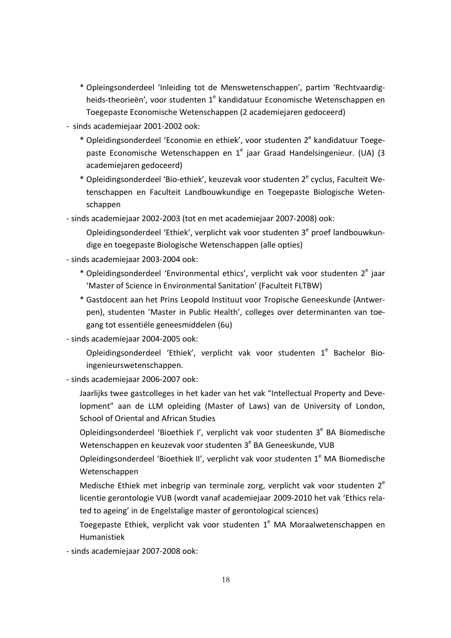- \* Opleingsonderdeel 'Inleiding tot de Menswetenschappen', partim 'Rechtvaardigheids-theorieën', voor studenten 1<sup>e</sup> kandidatuur Economische Wetenschappen en Toegepaste Economische Wetenschappen (2 academiejaren gedoceerd)
- sinds academiejaar 2001-2002 ook:
	- \* Opleidingsonderdeel 'Economie en ethiek', voor studenten 2<sup>e</sup> kandidatuur Toegepaste Economische Wetenschappen en 1<sup>e</sup> jaar Graad Handelsingenieur. (UA) (3 academiejaren gedoceerd)
	- \* Opleidingsonderdeel 'Bio-ethiek', keuzevak voor studenten 2<sup>e</sup> cyclus, Faculteit Wetenschappen en Faculteit Landbouwkundige en Toegepaste Biologische Wetenschappen

- sinds academiejaar 2002-2003 (tot en met academiejaar 2007-2008) ook:

Opleidingsonderdeel 'Ethiek', verplicht vak voor studenten  $3<sup>e</sup>$  proef landbouwkundige en toegepaste Biologische Wetenschappen (alle opties)

- sinds academiejaar 2003-2004 ook:
	- \* Opleidingsonderdeel 'Environmental ethics', verplicht vak voor studenten 2<sup>e</sup> jaar 'Master of Science in Environmental Sanitation' (Faculteit FLTBW)
	- \* Gastdocent aan het Prins Leopold Instituut voor Tropische Geneeskunde (Antwerpen), studenten 'Master in Public Health', colleges over determinanten van toegang tot essentiële geneesmiddelen (6u)
- sinds academiejaar 2004-2005 ook:

Opleidingsonderdeel 'Ethiek', verplicht vak voor studenten 1<sup>e</sup> Bachelor Bioingenieurswetenschappen.

- sinds academiejaar 2006-2007 ook:
	- Jaarlijks twee gastcolleges in het kader van het vak "Intellectual Property and Development" aan de LLM opleiding (Master of Laws) van de University of London, School of Oriental and African Studies
	- Opleidingsonderdeel 'Bioethiek I', verplicht vak voor studenten 3<sup>e</sup> BA Biomedische Wetenschappen en keuzevak voor studenten 3<sup>e</sup> BA Geneeskunde, VUB

Opleidingsonderdeel 'Bioethiek II', verplicht vak voor studenten 1<sup>e</sup> MA Biomedische Wetenschappen

- Medische Ethiek met inbegrip van terminale zorg, verplicht vak voor studenten  $2^e$ licentie gerontologie VUB (wordt vanaf academiejaar 2009-2010 het vak 'Ethics related to ageing' in de Engelstalige master of gerontological sciences)
- Toegepaste Ethiek, verplicht vak voor studenten  $1^e$  MA Moraalwetenschappen en Humanistiek

- sinds academiejaar 2007-2008 ook: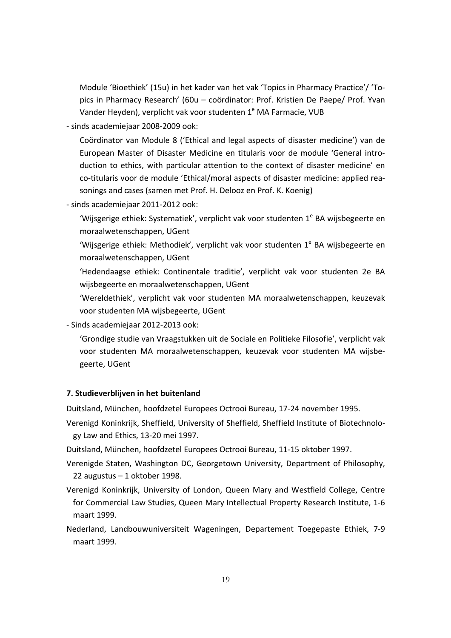Module 'Bioethiek' (15u) in het kader van het vak 'Topics in Pharmacy Practice'/ 'Topics in Pharmacy Research' (60u – coördinator: Prof. Kristien De Paepe/ Prof. Yvan Vander Heyden), verplicht vak voor studenten 1<sup>e</sup> MA Farmacie, VUB

- sinds academiejaar 2008-2009 ook:

Coördinator van Module 8 ('Ethical and legal aspects of disaster medicine') van de European Master of Disaster Medicine en titularis voor de module 'General introduction to ethics, with particular attention to the context of disaster medicine' en co-titularis voor de module 'Ethical/moral aspects of disaster medicine: applied reasonings and cases (samen met Prof. H. Delooz en Prof. K. Koenig)

- sinds academiejaar 2011-2012 ook:

'Wijsgerige ethiek: Systematiek', verplicht vak voor studenten 1<sup>e</sup> BA wijsbegeerte en moraalwetenschappen, UGent

'Wijsgerige ethiek: Methodiek', verplicht vak voor studenten 1<sup>e</sup> BA wijsbegeerte en moraalwetenschappen, UGent

'Hedendaagse ethiek: Continentale traditie', verplicht vak voor studenten 2e BA wijsbegeerte en moraalwetenschappen, UGent

'Wereldethiek', verplicht vak voor studenten MA moraalwetenschappen, keuzevak voor studenten MA wijsbegeerte, UGent

- Sinds academiejaar 2012-2013 ook:

'Grondige studie van Vraagstukken uit de Sociale en Politieke Filosofie', verplicht vak voor studenten MA moraalwetenschappen, keuzevak voor studenten MA wijsbegeerte, UGent

## **7. Studieverblijven in het buitenland**

Duitsland, München, hoofdzetel Europees Octrooi Bureau, 17-24 november 1995.

Verenigd Koninkrijk, Sheffield, University of Sheffield, Sheffield Institute of Biotechnology Law and Ethics, 13-20 mei 1997.

Duitsland, München, hoofdzetel Europees Octrooi Bureau, 11-15 oktober 1997.

- Verenigde Staten, Washington DC, Georgetown University, Department of Philosophy, 22 augustus – 1 oktober 1998.
- Verenigd Koninkrijk, University of London, Queen Mary and Westfield College, Centre for Commercial Law Studies, Queen Mary Intellectual Property Research Institute, 1-6 maart 1999.
- Nederland, Landbouwuniversiteit Wageningen, Departement Toegepaste Ethiek, 7-9 maart 1999.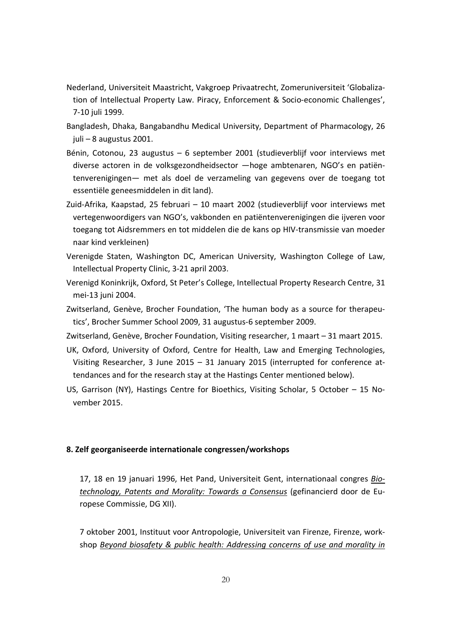- Nederland, Universiteit Maastricht, Vakgroep Privaatrecht, Zomeruniversiteit 'Globalization of Intellectual Property Law. Piracy, Enforcement & Socio-economic Challenges', 7-10 juli 1999.
- Bangladesh, Dhaka, Bangabandhu Medical University, Department of Pharmacology, 26 juli – 8 augustus 2001.
- Bénin, Cotonou, 23 augustus 6 september 2001 (studieverblijf voor interviews met diverse actoren in de volksgezondheidsector ―hoge ambtenaren, NGO's en patiëntenverenigingen― met als doel de verzameling van gegevens over de toegang tot essentiële geneesmiddelen in dit land).
- Zuid-Afrika, Kaapstad, 25 februari 10 maart 2002 (studieverblijf voor interviews met vertegenwoordigers van NGO's, vakbonden en patiëntenverenigingen die ijveren voor toegang tot Aidsremmers en tot middelen die de kans op HIV-transmissie van moeder naar kind verkleinen)
- Verenigde Staten, Washington DC, American University, Washington College of Law, Intellectual Property Clinic, 3-21 april 2003.
- Verenigd Koninkrijk, Oxford, St Peter's College, Intellectual Property Research Centre, 31 mei-13 juni 2004.
- Zwitserland, Genève, Brocher Foundation, 'The human body as a source for therapeutics', Brocher Summer School 2009, 31 augustus-6 september 2009.
- Zwitserland, Genève, Brocher Foundation, Visiting researcher, 1 maart 31 maart 2015.
- UK, Oxford, University of Oxford, Centre for Health, Law and Emerging Technologies, Visiting Researcher, 3 June 2015 – 31 January 2015 (interrupted for conference attendances and for the research stay at the Hastings Center mentioned below).
- US, Garrison (NY), Hastings Centre for Bioethics, Visiting Scholar, 5 October 15 November 2015.

#### **8. Zelf georganiseerde internationale congressen/workshops**

17, 18 en 19 januari 1996, Het Pand, Universiteit Gent, internationaal congres *Biotechnology, Patents and Morality: Towards a Consensus* (gefinancierd door de Europese Commissie, DG XII).

7 oktober 2001, Instituut voor Antropologie, Universiteit van Firenze, Firenze, workshop *Beyond biosafety & public health: Addressing concerns of use and morality in*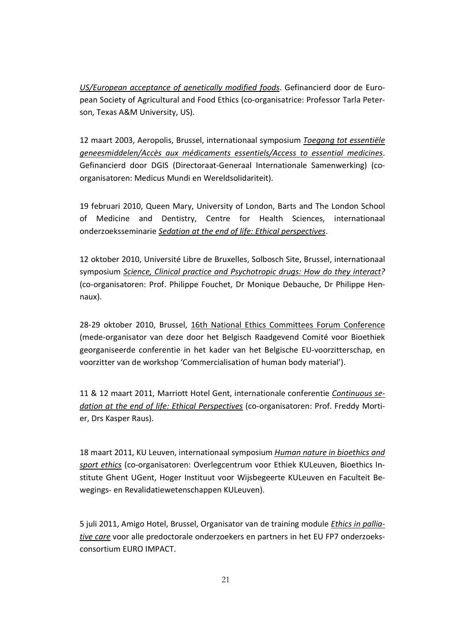*US/European acceptance of genetically modified foods*. Gefinancierd door de European Society of Agricultural and Food Ethics (co-organisatrice: Professor Tarla Peterson, Texas A&M University, US).

12 maart 2003, Aeropolis, Brussel, internationaal symposium *Toegang tot essentiële geneesmiddelen/Accès aux médicaments essentiels/Access to essential medicines*. Gefinancierd door DGIS (Directoraat-Generaal Internationale Samenwerking) (coorganisatoren: Medicus Mundi en Wereldsolidariteit).

19 februari 2010, Queen Mary, University of London, Barts and The London School of Medicine and Dentistry, Centre for Health Sciences, internationaal onderzoeksseminarie *Sedation at the end of life: Ethical perspectives*.

12 oktober 2010, Université Libre de Bruxelles, Solbosch Site, Brussel, internationaal symposium *Science, Clinical practice and Psychotropic drugs: How do they interact?* (co-organisatoren: Prof. Philippe Fouchet, Dr Monique Debauche, Dr Philippe Hennaux).

28-29 oktober 2010, Brussel, 16th National Ethics Committees Forum Conference (mede-organisator van deze door het Belgisch Raadgevend Comité voor Bioethiek georganiseerde conferentie in het kader van het Belgische EU-voorzitterschap, en voorzitter van de workshop 'Commercialisation of human body material').

11 & 12 maart 2011, Marriott Hotel Gent, internationale conferentie *Continuous sedation at the end of life: Ethical Perspectives* (co-organisatoren: Prof. Freddy Mortier, Drs Kasper Raus).

18 maart 2011, KU Leuven, internationaal symposium *Human nature in bioethics and sport ethics* (co-organisatoren: Overlegcentrum voor Ethiek KULeuven, Bioethics Institute Ghent UGent, Hoger Instituut voor Wijsbegeerte KULeuven en Faculteit Bewegings- en Revalidatiewetenschappen KULeuven).

5 juli 2011, Amigo Hotel, Brussel, Organisator van de training module *Ethics in palliative care* voor alle predoctorale onderzoekers en partners in het EU FP7 onderzoeksconsortium EURO IMPACT.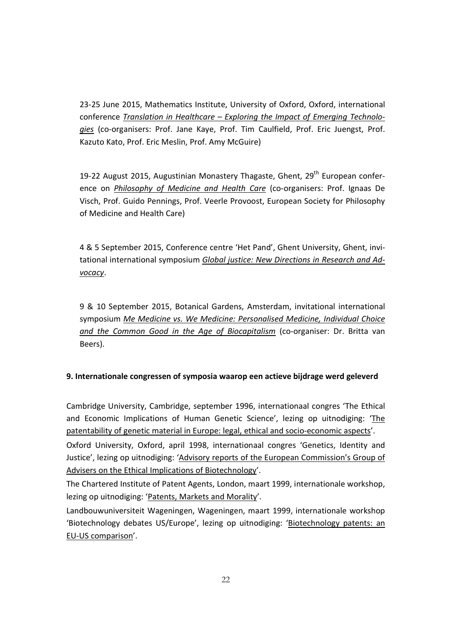23-25 June 2015, Mathematics Institute, University of Oxford, Oxford, international conference *Translation in Healthcare – Exploring the Impact of Emerging Technologies* (co-organisers: Prof. Jane Kaye, Prof. Tim Caulfield, Prof. Eric Juengst, Prof. Kazuto Kato, Prof. Eric Meslin, Prof. Amy McGuire)

19-22 August 2015, Augustinian Monastery Thagaste, Ghent, 29<sup>th</sup> European conference on *Philosophy of Medicine and Health Care* (co-organisers: Prof. Ignaas De Visch, Prof. Guido Pennings, Prof. Veerle Provoost, European Society for Philosophy of Medicine and Health Care)

4 & 5 September 2015, Conference centre 'Het Pand', Ghent University, Ghent, invitational international symposium *Global justice: New Directions in Research and Advocacy*.

9 & 10 September 2015, Botanical Gardens, Amsterdam, invitational international symposium *Me Medicine vs. We Medicine: Personalised Medicine, Individual Choice and the Common Good in the Age of Biocapitalism* (co-organiser: Dr. Britta van Beers).

## **9. Internationale congressen of symposia waarop een actieve bijdrage werd geleverd**

Cambridge University, Cambridge, september 1996, internationaal congres 'The Ethical and Economic Implications of Human Genetic Science', lezing op uitnodiging: 'The patentability of genetic material in Europe: legal, ethical and socio-economic aspects'.

Oxford University, Oxford, april 1998, internationaal congres 'Genetics, Identity and Justice', lezing op uitnodiging: 'Advisory reports of the European Commission's Group of Advisers on the Ethical Implications of Biotechnology'.

The Chartered Institute of Patent Agents, London, maart 1999, internationale workshop, lezing op uitnodiging: 'Patents, Markets and Morality'.

Landbouwuniversiteit Wageningen, Wageningen, maart 1999, internationale workshop 'Biotechnology debates US/Europe', lezing op uitnodiging: 'Biotechnology patents: an EU-US comparison'.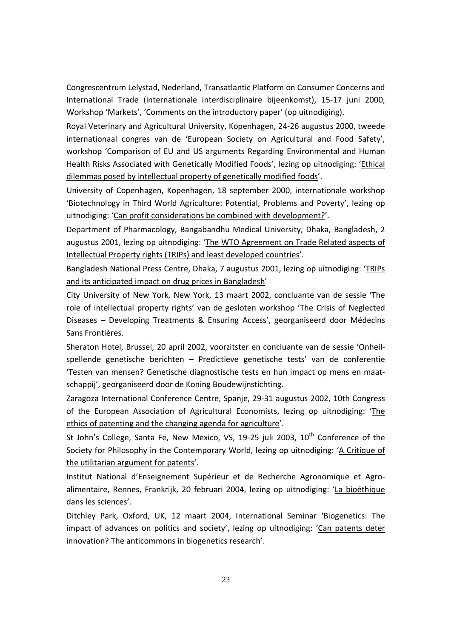Congrescentrum Lelystad, Nederland, Transatlantic Platform on Consumer Concerns and International Trade (internationale interdisciplinaire bijeenkomst), 15-17 juni 2000, Workshop 'Markets', 'Comments on the introductory paper' (op uitnodiging).

Royal Veterinary and Agricultural University, Kopenhagen, 24-26 augustus 2000, tweede internationaal congres van de 'European Society on Agricultural and Food Safety', workshop 'Comparison of EU and US arguments Regarding Environmental and Human Health Risks Associated with Genetically Modified Foods', lezing op uitnodiging: 'Ethical dilemmas posed by intellectual property of genetically modified foods'.

University of Copenhagen, Kopenhagen, 18 september 2000, internationale workshop 'Biotechnology in Third World Agriculture: Potential, Problems and Poverty', lezing op uitnodiging: 'Can profit considerations be combined with development?'.

Department of Pharmacology, Bangabandhu Medical University, Dhaka, Bangladesh, 2 augustus 2001, lezing op uitnodiging: 'The WTO Agreement on Trade Related aspects of Intellectual Property rights (TRIPs) and least developed countries'.

Bangladesh National Press Centre, Dhaka, 7 augustus 2001, lezing op uitnodiging: 'TRIPs and its anticipated impact on drug prices in Bangladesh'

City University of New York, New York, 13 maart 2002, concluante van de sessie 'The role of intellectual property rights' van de gesloten workshop 'The Crisis of Neglected Diseases – Developing Treatments & Ensuring Access', georganiseerd door Médecins Sans Frontières.

Sheraton Hotel, Brussel, 20 april 2002, voorzitster en concluante van de sessie 'Onheilspellende genetische berichten – Predictieve genetische tests' van de conferentie 'Testen van mensen? Genetische diagnostische tests en hun impact op mens en maatschappij', georganiseerd door de Koning Boudewijnstichting.

Zaragoza International Conference Centre, Spanje, 29-31 augustus 2002, 10th Congress of the European Association of Agricultural Economists, lezing op uitnodiging: 'The ethics of patenting and the changing agenda for agriculture'.

St John's College, Santa Fe, New Mexico, VS, 19-25 juli 2003,  $10<sup>th</sup>$  Conference of the Society for Philosophy in the Contemporary World, lezing op uitnodiging: 'A Critique of the utilitarian argument for patents'.

Institut National d'Enseignement Supérieur et de Recherche Agronomique et Agroalimentaire, Rennes, Frankrijk, 20 februari 2004, lezing op uitnodiging: 'La bioéthique dans les sciences'.

Ditchley Park, Oxford, UK, 12 maart 2004, International Seminar 'Biogenetics: The impact of advances on politics and society', lezing op uitnodiging: 'Can patents deter innovation? The anticommons in biogenetics research'.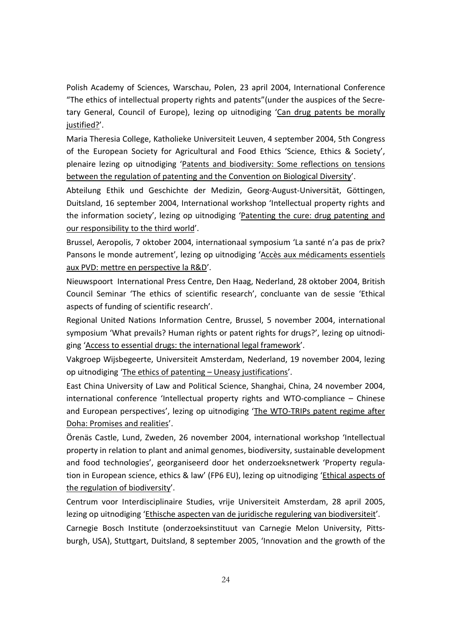Polish Academy of Sciences, Warschau, Polen, 23 april 2004, International Conference "The ethics of intellectual property rights and patents"(under the auspices of the Secretary General, Council of Europe), lezing op uitnodiging 'Can drug patents be morally justified?'.

Maria Theresia College, Katholieke Universiteit Leuven, 4 september 2004, 5th Congress of the European Society for Agricultural and Food Ethics 'Science, Ethics & Society', plenaire lezing op uitnodiging 'Patents and biodiversity: Some reflections on tensions between the regulation of patenting and the Convention on Biological Diversity'.

Abteilung Ethik und Geschichte der Medizin, Georg-August-Universität, Göttingen, Duitsland, 16 september 2004, International workshop 'Intellectual property rights and the information society', lezing op uitnodiging 'Patenting the cure: drug patenting and our responsibility to the third world'.

Brussel, Aeropolis, 7 oktober 2004, internationaal symposium 'La santé n'a pas de prix? Pansons le monde autrement', lezing op uitnodiging 'Accès aux médicaments essentiels aux PVD: mettre en perspective la R&D'.

Nieuwspoort International Press Centre, Den Haag, Nederland, 28 oktober 2004, British Council Seminar 'The ethics of scientific research', concluante van de sessie 'Ethical aspects of funding of scientific research'.

Regional United Nations Information Centre, Brussel, 5 november 2004, international symposium 'What prevails? Human rights or patent rights for drugs?', lezing op uitnodiging 'Access to essential drugs: the international legal framework'.

Vakgroep Wijsbegeerte, Universiteit Amsterdam, Nederland, 19 november 2004, lezing op uitnodiging 'The ethics of patenting – Uneasy justifications'.

East China University of Law and Political Science, Shanghai, China, 24 november 2004, international conference 'Intellectual property rights and WTO-compliance – Chinese and European perspectives', lezing op uitnodiging 'The WTO-TRIPs patent regime after Doha: Promises and realities'.

Örenäs Castle, Lund, Zweden, 26 november 2004, international workshop 'Intellectual property in relation to plant and animal genomes, biodiversity, sustainable development and food technologies', georganiseerd door het onderzoeksnetwerk 'Property regulation in European science, ethics & law' (FP6 EU), lezing op uitnodiging 'Ethical aspects of the regulation of biodiversity'.

Centrum voor Interdisciplinaire Studies, vrije Universiteit Amsterdam, 28 april 2005, lezing op uitnodiging 'Ethische aspecten van de juridische regulering van biodiversiteit'.

Carnegie Bosch Institute (onderzoeksinstituut van Carnegie Melon University, Pittsburgh, USA), Stuttgart, Duitsland, 8 september 2005, 'Innovation and the growth of the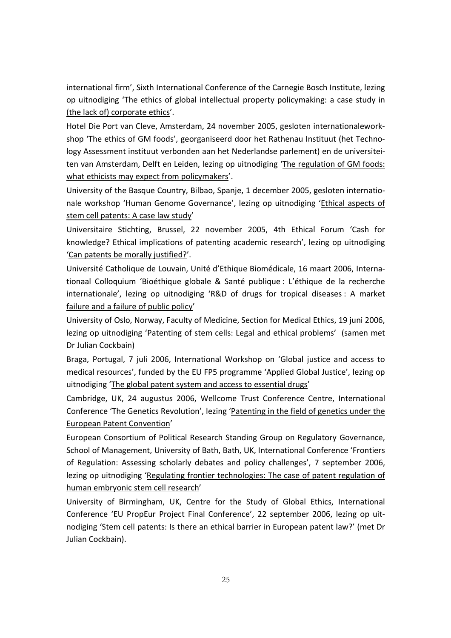international firm', Sixth International Conference of the Carnegie Bosch Institute, lezing op uitnodiging 'The ethics of global intellectual property policymaking: a case study in (the lack of) corporate ethics'.

Hotel Die Port van Cleve, Amsterdam, 24 november 2005, gesloten internationaleworkshop 'The ethics of GM foods', georganiseerd door het Rathenau Instituut (het Technology Assessment instituut verbonden aan het Nederlandse parlement) en de universiteiten van Amsterdam, Delft en Leiden, lezing op uitnodiging 'The regulation of GM foods: what ethicists may expect from policymakers'.

University of the Basque Country, Bilbao, Spanje, 1 december 2005, gesloten internationale workshop 'Human Genome Governance', lezing op uitnodiging 'Ethical aspects of stem cell patents: A case law study'

Universitaire Stichting, Brussel, 22 november 2005, 4th Ethical Forum 'Cash for knowledge? Ethical implications of patenting academic research', lezing op uitnodiging 'Can patents be morally justified?'.

Université Catholique de Louvain, Unité d'Ethique Biomédicale, 16 maart 2006, Internationaal Colloquium 'Bioéthique globale & Santé publique : L'éthique de la recherche internationale', lezing op uitnodiging 'R&D of drugs for tropical diseases : A market failure and a failure of public policy'

University of Oslo, Norway, Faculty of Medicine, Section for Medical Ethics, 19 juni 2006, lezing op uitnodiging 'Patenting of stem cells: Legal and ethical problems' (samen met Dr Julian Cockbain)

Braga, Portugal, 7 juli 2006, International Workshop on 'Global justice and access to medical resources', funded by the EU FP5 programme 'Applied Global Justice', lezing op uitnodiging 'The global patent system and access to essential drugs'

Cambridge, UK, 24 augustus 2006, Wellcome Trust Conference Centre, International Conference 'The Genetics Revolution', lezing 'Patenting in the field of genetics under the European Patent Convention'

European Consortium of Political Research Standing Group on Regulatory Governance, School of Management, University of Bath, Bath, UK, International Conference 'Frontiers of Regulation: Assessing scholarly debates and policy challenges', 7 september 2006, lezing op uitnodiging 'Regulating frontier technologies: The case of patent regulation of human embryonic stem cell research'

University of Birmingham, UK, Centre for the Study of Global Ethics, International Conference 'EU PropEur Project Final Conference', 22 september 2006, lezing op uitnodiging 'Stem cell patents: Is there an ethical barrier in European patent law?' (met Dr Julian Cockbain).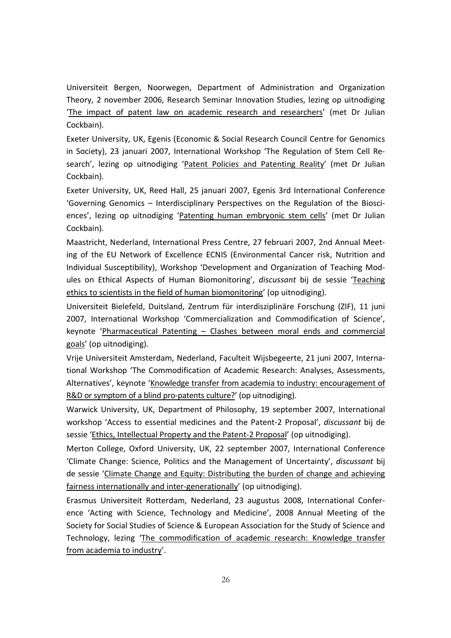Universiteit Bergen, Noorwegen, Department of Administration and Organization Theory, 2 november 2006, Research Seminar Innovation Studies, lezing op uitnodiging 'The impact of patent law on academic research and researchers' (met Dr Julian Cockbain).

Exeter University, UK, Egenis (Economic & Social Research Council Centre for Genomics in Society), 23 januari 2007, International Workshop 'The Regulation of Stem Cell Research', lezing op uitnodiging 'Patent Policies and Patenting Reality' (met Dr Julian Cockbain).

Exeter University, UK, Reed Hall, 25 januari 2007, Egenis 3rd International Conference 'Governing Genomics – Interdisciplinary Perspectives on the Regulation of the Biosciences', lezing op uitnodiging 'Patenting human embryonic stem cells' (met Dr Julian Cockbain).

Maastricht, Nederland, International Press Centre, 27 februari 2007, 2nd Annual Meeting of the EU Network of Excellence ECNIS (Environmental Cancer risk, Nutrition and Individual Susceptibility), Workshop 'Development and Organization of Teaching Modules on Ethical Aspects of Human Biomonitoring', *discussant* bij de sessie 'Teaching ethics to scientists in the field of human biomonitoring' (op uitnodiging).

Universiteit Bielefeld, Duitsland, Zentrum für interdisziplinäre Forschung (ZIF), 11 juni 2007, International Workshop 'Commercialization and Commodification of Science', keynote 'Pharmaceutical Patenting – Clashes between moral ends and commercial goals' (op uitnodiging).

Vrije Universiteit Amsterdam, Nederland, Faculteit Wijsbegeerte, 21 juni 2007, International Workshop 'The Commodification of Academic Research: Analyses, Assessments, Alternatives', keynote 'Knowledge transfer from academia to industry: encouragement of R&D or symptom of a blind pro-patents culture?' (op uitnodiging).

Warwick University, UK, Department of Philosophy, 19 september 2007, International workshop 'Access to essential medicines and the Patent-2 Proposal', *discussant* bij de sessie 'Ethics, Intellectual Property and the Patent-2 Proposal' (op uitnodiging).

Merton College, Oxford University, UK, 22 september 2007, International Conference 'Climate Change: Science, Politics and the Management of Uncertainty', *discussant* bij de sessie 'Climate Change and Equity: Distributing the burden of change and achieving fairness internationally and inter-generationally' (op uitnodiging).

Erasmus Universiteit Rotterdam, Nederland, 23 augustus 2008, International Conference 'Acting with Science, Technology and Medicine', 2008 Annual Meeting of the Society for Social Studies of Science & European Association for the Study of Science and Technology, lezing 'The commodification of academic research: Knowledge transfer from academia to industry'.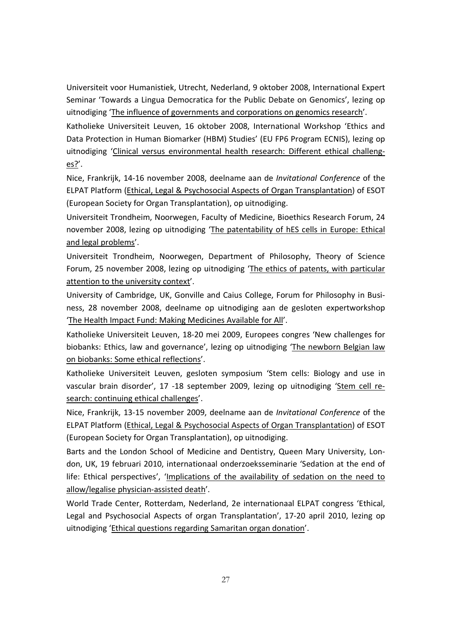Universiteit voor Humanistiek, Utrecht, Nederland, 9 oktober 2008, International Expert Seminar 'Towards a Lingua Democratica for the Public Debate on Genomics', lezing op uitnodiging 'The influence of governments and corporations on genomics research'.

Katholieke Universiteit Leuven, 16 oktober 2008, International Workshop 'Ethics and Data Protection in Human Biomarker (HBM) Studies' (EU FP6 Program ECNIS), lezing op uitnodiging 'Clinical versus environmental health research: Different ethical challenges?'.

Nice, Frankrijk, 14-16 november 2008, deelname aan de *Invitational Conference* of the ELPAT Platform (Ethical, Legal & Psychosocial Aspects of Organ Transplantation) of ESOT (European Society for Organ Transplantation), op uitnodiging.

Universiteit Trondheim, Noorwegen, Faculty of Medicine, Bioethics Research Forum, 24 november 2008, lezing op uitnodiging 'The patentability of hES cells in Europe: Ethical and legal problems'.

Universiteit Trondheim, Noorwegen, Department of Philosophy, Theory of Science Forum, 25 november 2008, lezing op uitnodiging 'The ethics of patents, with particular attention to the university context'.

University of Cambridge, UK, Gonville and Caius College, Forum for Philosophy in Business, 28 november 2008, deelname op uitnodiging aan de gesloten expertworkshop 'The Health Impact Fund: Making Medicines Available for All'.

Katholieke Universiteit Leuven, 18-20 mei 2009, Europees congres 'New challenges for biobanks: Ethics, law and governance', lezing op uitnodiging 'The newborn Belgian law on biobanks: Some ethical reflections'.

Katholieke Universiteit Leuven, gesloten symposium 'Stem cells: Biology and use in vascular brain disorder', 17 -18 september 2009, lezing op uitnodiging 'Stem cell research: continuing ethical challenges'.

Nice, Frankrijk, 13-15 november 2009, deelname aan de *Invitational Conference* of the ELPAT Platform (Ethical, Legal & Psychosocial Aspects of Organ Transplantation) of ESOT (European Society for Organ Transplantation), op uitnodiging.

Barts and the London School of Medicine and Dentistry, Queen Mary University, London, UK, 19 februari 2010, internationaal onderzoeksseminarie 'Sedation at the end of life: Ethical perspectives', 'Implications of the availability of sedation on the need to allow/legalise physician-assisted death'.

World Trade Center, Rotterdam, Nederland, 2e internationaal ELPAT congress 'Ethical, Legal and Psychosocial Aspects of organ Transplantation', 17-20 april 2010, lezing op uitnodiging 'Ethical questions regarding Samaritan organ donation'.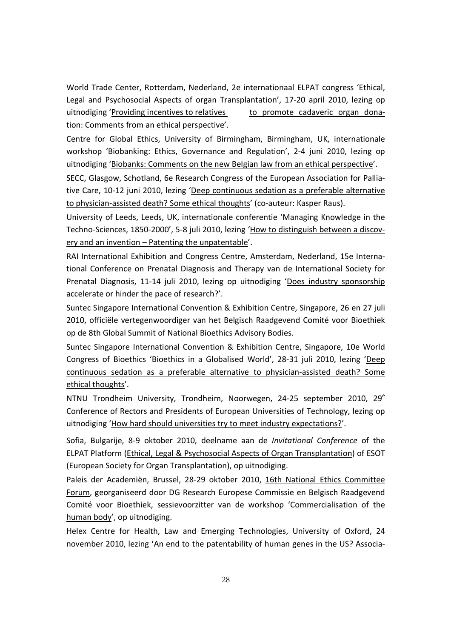World Trade Center, Rotterdam, Nederland, 2e internationaal ELPAT congress 'Ethical, Legal and Psychosocial Aspects of organ Transplantation', 17-20 april 2010, lezing op uitnodiging 'Providing incentives to relatives to promote cadaveric organ donation: Comments from an ethical perspective'.

Centre for Global Ethics, University of Birmingham, Birmingham, UK, internationale workshop 'Biobanking: Ethics, Governance and Regulation', 2-4 juni 2010, lezing op uitnodiging 'Biobanks: Comments on the new Belgian law from an ethical perspective'.

SECC, Glasgow, Schotland, 6e Research Congress of the European Association for Palliative Care, 10-12 juni 2010, lezing 'Deep continuous sedation as a preferable alternative to physician-assisted death? Some ethical thoughts' (co-auteur: Kasper Raus).

University of Leeds, Leeds, UK, internationale conferentie 'Managing Knowledge in the Techno-Sciences, 1850-2000', 5-8 juli 2010, lezing 'How to distinguish between a discovery and an invention – Patenting the unpatentable'.

RAI International Exhibition and Congress Centre, Amsterdam, Nederland, 15e International Conference on Prenatal Diagnosis and Therapy van de International Society for Prenatal Diagnosis, 11-14 juli 2010, lezing op uitnodiging 'Does industry sponsorship accelerate or hinder the pace of research?'.

Suntec Singapore International Convention & Exhibition Centre, Singapore, 26 en 27 juli 2010, officiële vertegenwoordiger van het Belgisch Raadgevend Comité voor Bioethiek op de 8th Global Summit of National Bioethics Advisory Bodies.

Suntec Singapore International Convention & Exhibition Centre, Singapore, 10e World Congress of Bioethics 'Bioethics in a Globalised World', 28-31 juli 2010, lezing 'Deep continuous sedation as a preferable alternative to physician-assisted death? Some ethical thoughts'.

NTNU Trondheim University, Trondheim, Noorwegen, 24-25 september 2010, 29<sup>e</sup> Conference of Rectors and Presidents of European Universities of Technology, lezing op uitnodiging 'How hard should universities try to meet industry expectations?'.

Sofia, Bulgarije, 8-9 oktober 2010, deelname aan de *Invitational Conference* of the ELPAT Platform (Ethical, Legal & Psychosocial Aspects of Organ Transplantation) of ESOT (European Society for Organ Transplantation), op uitnodiging.

Paleis der Academiën, Brussel, 28-29 oktober 2010, 16th National Ethics Committee Forum, georganiseerd door DG Research Europese Commissie en Belgisch Raadgevend Comité voor Bioethiek, sessievoorzitter van de workshop 'Commercialisation of the human body', op uitnodiging.

Helex Centre for Health, Law and Emerging Technologies, University of Oxford, 24 november 2010, lezing 'An end to the patentability of human genes in the US? Associa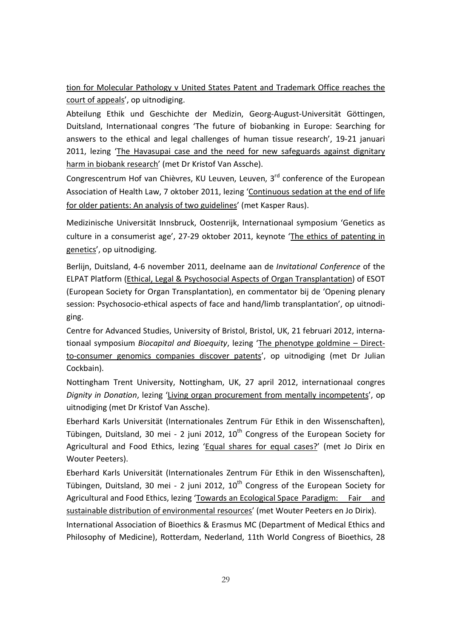tion for Molecular Pathology v United States Patent and Trademark Office reaches the court of appeals', op uitnodiging.

Abteilung Ethik und Geschichte der Medizin, Georg-August-Universität Göttingen, Duitsland, Internationaal congres 'The future of biobanking in Europe: Searching for answers to the ethical and legal challenges of human tissue research', 19-21 januari 2011, lezing 'The Havasupai case and the need for new safeguards against dignitary harm in biobank research' (met Dr Kristof Van Assche).

Congrescentrum Hof van Chièvres, KU Leuven, Leuven, 3<sup>rd</sup> conference of the European Association of Health Law, 7 oktober 2011, lezing 'Continuous sedation at the end of life for older patients: An analysis of two guidelines' (met Kasper Raus).

Medizinische Universität Innsbruck, Oostenrijk, Internationaal symposium 'Genetics as culture in a consumerist age', 27-29 oktober 2011, keynote 'The ethics of patenting in genetics', op uitnodiging.

Berlijn, Duitsland, 4-6 november 2011, deelname aan de *Invitational Conference* of the ELPAT Platform (Ethical, Legal & Psychosocial Aspects of Organ Transplantation) of ESOT (European Society for Organ Transplantation), en commentator bij de 'Opening plenary session: Psychosocio-ethical aspects of face and hand/limb transplantation', op uitnodiging.

Centre for Advanced Studies, University of Bristol, Bristol, UK, 21 februari 2012, internationaal symposium *Biocapital and Bioequity*, lezing 'The phenotype goldmine – Directto-consumer genomics companies discover patents', op uitnodiging (met Dr Julian Cockbain).

Nottingham Trent University, Nottingham, UK, 27 april 2012, internationaal congres *Dignity in Donation*, lezing 'Living organ procurement from mentally incompetents', op uitnodiging (met Dr Kristof Van Assche).

Eberhard Karls Universität (Internationales Zentrum Für Ethik in den Wissenschaften), Tübingen, Duitsland, 30 mei - 2 juni 2012,  $10^{th}$  Congress of the European Society for Agricultural and Food Ethics, lezing 'Equal shares for equal cases?' (met Jo Dirix en Wouter Peeters).

Eberhard Karls Universität (Internationales Zentrum Für Ethik in den Wissenschaften), Tübingen, Duitsland, 30 mei - 2 juni 2012,  $10^{th}$  Congress of the European Society for Agricultural and Food Ethics, lezing 'Towards an Ecological Space Paradigm: Fair and sustainable distribution of environmental resources' (met Wouter Peeters en Jo Dirix).

International Association of Bioethics & Erasmus MC (Department of Medical Ethics and Philosophy of Medicine), Rotterdam, Nederland, 11th World Congress of Bioethics, 28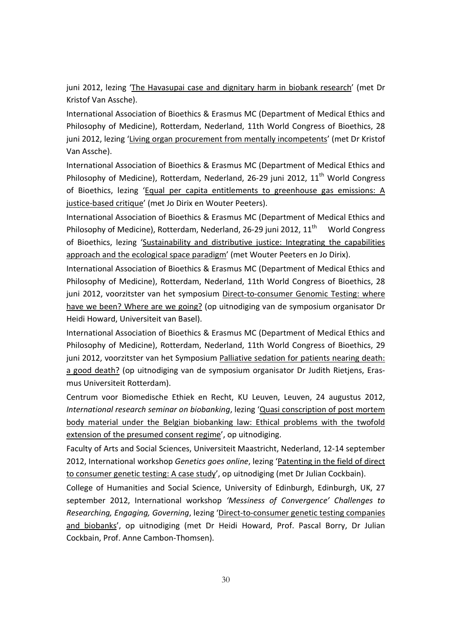juni 2012, lezing 'The Havasupai case and dignitary harm in biobank research' (met Dr Kristof Van Assche).

International Association of Bioethics & Erasmus MC (Department of Medical Ethics and Philosophy of Medicine), Rotterdam, Nederland, 11th World Congress of Bioethics, 28 juni 2012, lezing 'Living organ procurement from mentally incompetents' (met Dr Kristof Van Assche).

International Association of Bioethics & Erasmus MC (Department of Medical Ethics and Philosophy of Medicine), Rotterdam, Nederland, 26-29 juni 2012,  $11<sup>th</sup>$  World Congress of Bioethics, lezing 'Equal per capita entitlements to greenhouse gas emissions: A justice-based critique' (met Jo Dirix en Wouter Peeters).

International Association of Bioethics & Erasmus MC (Department of Medical Ethics and Philosophy of Medicine), Rotterdam, Nederland, 26-29 juni 2012, 11<sup>th</sup> World Congress of Bioethics, lezing 'Sustainability and distributive justice: Integrating the capabilities approach and the ecological space paradigm' (met Wouter Peeters en Jo Dirix).

International Association of Bioethics & Erasmus MC (Department of Medical Ethics and Philosophy of Medicine), Rotterdam, Nederland, 11th World Congress of Bioethics, 28 juni 2012, voorzitster van het symposium Direct-to-consumer Genomic Testing: where have we been? Where are we going? (op uitnodiging van de symposium organisator Dr Heidi Howard, Universiteit van Basel).

International Association of Bioethics & Erasmus MC (Department of Medical Ethics and Philosophy of Medicine), Rotterdam, Nederland, 11th World Congress of Bioethics, 29 juni 2012, voorzitster van het Symposium Palliative sedation for patients nearing death: a good death? (op uitnodiging van de symposium organisator Dr Judith Rietjens, Erasmus Universiteit Rotterdam).

Centrum voor Biomedische Ethiek en Recht, KU Leuven, Leuven, 24 augustus 2012, *International research seminar on biobanking*, lezing 'Quasi conscription of post mortem body material under the Belgian biobanking law: Ethical problems with the twofold extension of the presumed consent regime', op uitnodiging.

Faculty of Arts and Social Sciences, Universiteit Maastricht, Nederland, 12-14 september 2012, International workshop *Genetics goes online*, lezing 'Patenting in the field of direct to consumer genetic testing: A case study', op uitnodiging (met Dr Julian Cockbain).

College of Humanities and Social Science, University of Edinburgh, Edinburgh, UK, 27 september 2012, International workshop *'Messiness of Convergence' Challenges to Researching, Engaging, Governing*, lezing 'Direct-to-consumer genetic testing companies and biobanks', op uitnodiging (met Dr Heidi Howard, Prof. Pascal Borry, Dr Julian Cockbain, Prof. Anne Cambon-Thomsen).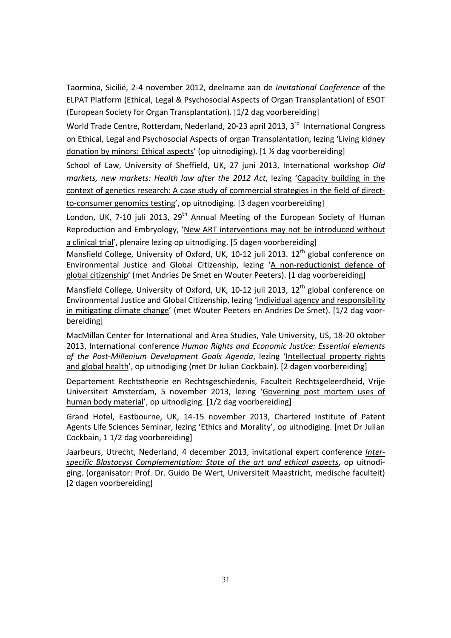Taormina, Sicilië, 2-4 november 2012, deelname aan de *Invitational Conference* of the ELPAT Platform (Ethical, Legal & Psychosocial Aspects of Organ Transplantation) of ESOT (European Society for Organ Transplantation). [1/2 dag voorbereiding]

World Trade Centre, Rotterdam, Nederland, 20-23 april 2013, 3<sup>rd</sup> International Congress on Ethical, Legal and Psychosocial Aspects of organ Transplantation, lezing 'Living kidney donation by minors: Ethical aspects' (op uitnodiging). [1 ½ dag voorbereiding]

School of Law, University of Sheffield, UK, 27 juni 2013, International workshop *Old markets, new markets: Health law after the 2012 Act*, lezing 'Capacity building in the context of genetics research: A case study of commercial strategies in the field of directto-consumer genomics testing', op uitnodiging. [3 dagen voorbereiding]

London, UK, 7-10 juli 2013, 29<sup>th</sup> Annual Meeting of the European Society of Human Reproduction and Embryology, 'New ART interventions may not be introduced without a clinical trial', plenaire lezing op uitnodiging. [5 dagen voorbereiding]

Mansfield College, University of Oxford, UK, 10-12 juli 2013.  $12<sup>th</sup>$  global conference on Environmental Justice and Global Citizenship, lezing 'A non-reductionist defence of global citizenship' (met Andries De Smet en Wouter Peeters). [1 dag voorbereiding]

Mansfield College, University of Oxford, UK, 10-12 juli 2013, 12<sup>th</sup> global conference on Environmental Justice and Global Citizenship, lezing 'Individual agency and responsibility in mitigating climate change' (met Wouter Peeters en Andries De Smet). [1/2 dag voorbereiding]

MacMillan Center for International and Area Studies, Yale University, US, 18-20 oktober 2013, International conference *Human Rights and Economic Justice: Essential elements of the Post-Millenium Development Goals Agenda*, lezing 'Intellectual property rights and global health', op uitnodiging (met Dr Julian Cockbain). [2 dagen voorbereiding]

Departement Rechtstheorie en Rechtsgeschiedenis, Faculteit Rechtsgeleerdheid, Vrije Universiteit Amsterdam, 5 november 2013, lezing 'Governing post mortem uses of human body material', op uitnodiging. [1/2 dag voorbereiding]

Grand Hotel, Eastbourne, UK, 14-15 november 2013, Chartered Institute of Patent Agents Life Sciences Seminar, lezing 'Ethics and Morality', op uitnodiging. [met Dr Julian Cockbain, 1 1/2 dag voorbereiding]

Jaarbeurs, Utrecht, Nederland, 4 december 2013, invitational expert conference *Interspecific Blastocyst Complementation: State of the art and ethical aspects*, op uitnodiging. (organisator: Prof. Dr. Guido De Wert, Universiteit Maastricht, medische faculteit) [2 dagen voorbereiding]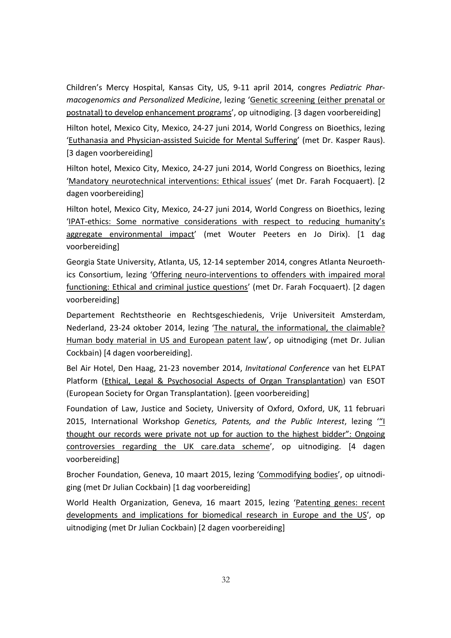Children's Mercy Hospital, Kansas City, US, 9-11 april 2014, congres *Pediatric Pharmacogenomics and Personalized Medicine*, lezing 'Genetic screening (either prenatal or postnatal) to develop enhancement programs', op uitnodiging. [3 dagen voorbereiding]

Hilton hotel, Mexico City, Mexico, 24-27 juni 2014, World Congress on Bioethics, lezing 'Euthanasia and Physician-assisted Suicide for Mental Suffering' (met Dr. Kasper Raus). [3 dagen voorbereiding]

Hilton hotel, Mexico City, Mexico, 24-27 juni 2014, World Congress on Bioethics, lezing 'Mandatory neurotechnical interventions: Ethical issues' (met Dr. Farah Focquaert). [2 dagen voorbereiding]

Hilton hotel, Mexico City, Mexico, 24-27 juni 2014, World Congress on Bioethics, lezing 'IPAT-ethics: Some normative considerations with respect to reducing humanity's aggregate environmental impact' (met Wouter Peeters en Jo Dirix). [1 dag voorbereiding]

Georgia State University, Atlanta, US, 12-14 september 2014, congres Atlanta Neuroethics Consortium, lezing 'Offering neuro-interventions to offenders with impaired moral functioning: Ethical and criminal justice questions' (met Dr. Farah Focquaert). [2 dagen voorbereiding]

Departement Rechtstheorie en Rechtsgeschiedenis, Vrije Universiteit Amsterdam, Nederland, 23-24 oktober 2014, lezing 'The natural, the informational, the claimable? Human body material in US and European patent law', op uitnodiging (met Dr. Julian Cockbain) [4 dagen voorbereiding].

Bel Air Hotel, Den Haag, 21-23 november 2014, *Invitational Conference* van het ELPAT Platform (Ethical, Legal & Psychosocial Aspects of Organ Transplantation) van ESOT (European Society for Organ Transplantation). [geen voorbereiding]

Foundation of Law, Justice and Society, University of Oxford, Oxford, UK, 11 februari 2015, International Workshop *Genetics, Patents, and the Public Interest*, lezing '"I thought our records were private not up for auction to the highest bidder": Ongoing controversies regarding the UK care.data scheme', op uitnodiging. [4 dagen voorbereiding]

Brocher Foundation, Geneva, 10 maart 2015, lezing 'Commodifying bodies', op uitnodiging (met Dr Julian Cockbain) [1 dag voorbereiding]

World Health Organization, Geneva, 16 maart 2015, lezing 'Patenting genes: recent developments and implications for biomedical research in Europe and the US', op uitnodiging (met Dr Julian Cockbain) [2 dagen voorbereiding]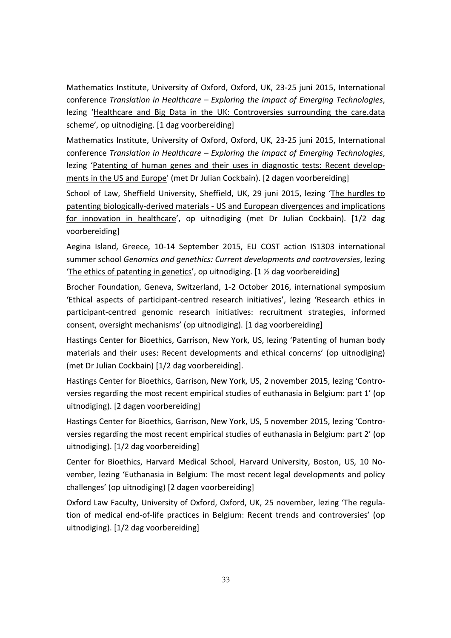Mathematics Institute, University of Oxford, Oxford, UK, 23-25 juni 2015, International conference *Translation in Healthcare – Exploring the Impact of Emerging Technologies*, lezing 'Healthcare and Big Data in the UK: Controversies surrounding the care.data scheme', op uitnodiging. [1 dag voorbereiding]

Mathematics Institute, University of Oxford, Oxford, UK, 23-25 juni 2015, International conference *Translation in Healthcare – Exploring the Impact of Emerging Technologies*, lezing 'Patenting of human genes and their uses in diagnostic tests: Recent developments in the US and Europe' (met Dr Julian Cockbain). [2 dagen voorbereiding]

School of Law, Sheffield University, Sheffield, UK, 29 juni 2015, lezing 'The hurdles to patenting biologically-derived materials - US and European divergences and implications for innovation in healthcare', op uitnodiging (met Dr Julian Cockbain). [1/2 dag voorbereiding]

Aegina Island, Greece, 10-14 September 2015, EU COST action IS1303 international summer school *Genomics and genethics: Current developments and controversies*, lezing 'The ethics of patenting in genetics', op uitnodiging. [1 ½ dag voorbereiding]

Brocher Foundation, Geneva, Switzerland, 1-2 October 2016, international symposium 'Ethical aspects of participant-centred research initiatives', lezing 'Research ethics in participant-centred genomic research initiatives: recruitment strategies, informed consent, oversight mechanisms' (op uitnodiging). [1 dag voorbereiding]

Hastings Center for Bioethics, Garrison, New York, US, lezing 'Patenting of human body materials and their uses: Recent developments and ethical concerns' (op uitnodiging) (met Dr Julian Cockbain) [1/2 dag voorbereiding].

Hastings Center for Bioethics, Garrison, New York, US, 2 november 2015, lezing 'Controversies regarding the most recent empirical studies of euthanasia in Belgium: part 1' (op uitnodiging). [2 dagen voorbereiding]

Hastings Center for Bioethics, Garrison, New York, US, 5 november 2015, lezing 'Controversies regarding the most recent empirical studies of euthanasia in Belgium: part 2' (op uitnodiging). [1/2 dag voorbereiding]

Center for Bioethics, Harvard Medical School, Harvard University, Boston, US, 10 November, lezing 'Euthanasia in Belgium: The most recent legal developments and policy challenges' (op uitnodiging) [2 dagen voorbereiding]

Oxford Law Faculty, University of Oxford, Oxford, UK, 25 november, lezing 'The regulation of medical end-of-life practices in Belgium: Recent trends and controversies' (op uitnodiging). [1/2 dag voorbereiding]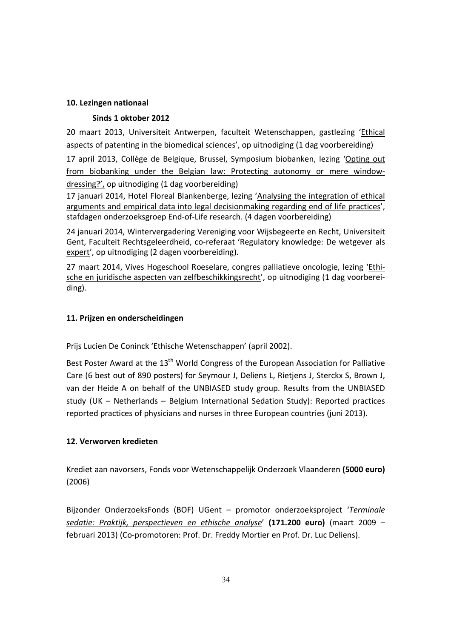## **10. Lezingen nationaal**

## **Sinds 1 oktober 2012**

20 maart 2013, Universiteit Antwerpen, faculteit Wetenschappen, gastlezing 'Ethical aspects of patenting in the biomedical sciences', op uitnodiging (1 dag voorbereiding)

17 april 2013, Collège de Belgique, Brussel, Symposium biobanken, lezing 'Opting out from biobanking under the Belgian law: Protecting autonomy or mere windowdressing?', op uitnodiging (1 dag voorbereiding)

17 januari 2014, Hotel Floreal Blankenberge, lezing 'Analysing the integration of ethical arguments and empirical data into legal decisionmaking regarding end of life practices', stafdagen onderzoeksgroep End-of-Life research. (4 dagen voorbereiding)

24 januari 2014, Wintervergadering Vereniging voor Wijsbegeerte en Recht, Universiteit Gent, Faculteit Rechtsgeleerdheid, co-referaat 'Regulatory knowledge: De wetgever als expert', op uitnodiging (2 dagen voorbereiding).

27 maart 2014, Vives Hogeschool Roeselare, congres palliatieve oncologie, lezing 'Ethische en juridische aspecten van zelfbeschikkingsrecht', op uitnodiging (1 dag voorbereiding).

## **11. Prijzen en onderscheidingen**

Prijs Lucien De Coninck 'Ethische Wetenschappen' (april 2002).

Best Poster Award at the 13<sup>th</sup> World Congress of the European Association for Palliative Care (6 best out of 890 posters) for Seymour J, Deliens L, Rietjens J, Sterckx S, Brown J, van der Heide A on behalf of the UNBIASED study group. Results from the UNBIASED study (UK – Netherlands – Belgium International Sedation Study): Reported practices reported practices of physicians and nurses in three European countries (juni 2013).

## **12. Verworven kredieten**

Krediet aan navorsers, Fonds voor Wetenschappelijk Onderzoek Vlaanderen **(5000 euro)** (2006)

Bijzonder OnderzoeksFonds (BOF) UGent – promotor onderzoeksproject '*Terminale sedatie: Praktijk, perspectieven en ethische analyse*' **(171.200 euro)** (maart 2009 – februari 2013) (Co-promotoren: Prof. Dr. Freddy Mortier en Prof. Dr. Luc Deliens).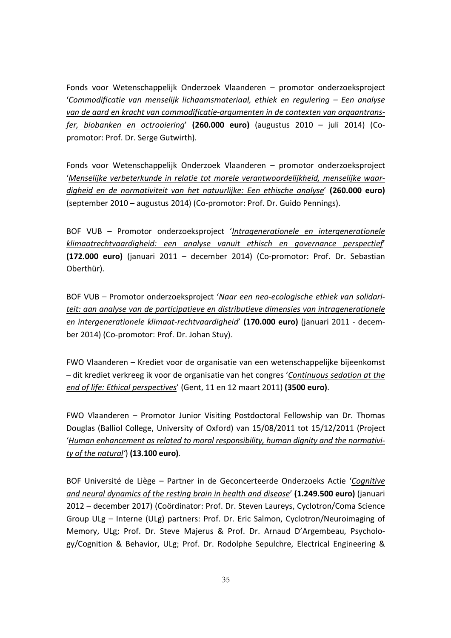Fonds voor Wetenschappelijk Onderzoek Vlaanderen – promotor onderzoeksproject '*Commodificatie van menselijk lichaamsmateriaal, ethiek en regulering – Een analyse van de aard en kracht van commodificatie-argumenten in de contexten van orgaantransfer, biobanken en octrooiering*' **(260.000 euro)** (augustus 2010 – juli 2014) (Copromotor: Prof. Dr. Serge Gutwirth).

Fonds voor Wetenschappelijk Onderzoek Vlaanderen – promotor onderzoeksproject '*Menselijke verbeterkunde in relatie tot morele verantwoordelijkheid, menselijke waardigheid en de normativiteit van het natuurlijke: Een ethische analyse*' **(260.000 euro)** (september 2010 – augustus 2014) (Co-promotor: Prof. Dr. Guido Pennings).

BOF VUB – Promotor onderzoeksproject '*Intragenerationele en intergenerationele klimaatrechtvaardigheid: een analyse vanuit ethisch en governance perspectief*' **(172.000 euro)** (januari 2011 – december 2014) (Co-promotor: Prof. Dr. Sebastian Oberthür).

BOF VUB – Promotor onderzoeksproject '*Naar een neo-ecologische ethiek van solidariteit: aan analyse van de participatieve en distributieve dimensies van intragenerationele en intergenerationele klimaat-rechtvaardigheid*' **(170.000 euro)** (januari 2011 - december 2014) (Co-promotor: Prof. Dr. Johan Stuy).

FWO Vlaanderen – Krediet voor de organisatie van een wetenschappelijke bijeenkomst – dit krediet verkreeg ik voor de organisatie van het congres '*Continuous sedation at the end of life: Ethical perspectives*' (Gent, 11 en 12 maart 2011) **(3500 euro)**.

FWO Vlaanderen – Promotor Junior Visiting Postdoctoral Fellowship van Dr. Thomas Douglas (Balliol College, University of Oxford) van 15/08/2011 tot 15/12/2011 (Project '*Human enhancement as related to moral responsibility, human dignity and the normativity of the natural'*) **(13.100 euro)**.

BOF Université de Liège – Partner in de Geconcerteerde Onderzoeks Actie '*Cognitive and neural dynamics of the resting brain in health and disease*' **(1.249.500 euro)** (januari 2012 – december 2017) (Coördinator: Prof. Dr. Steven Laureys, Cyclotron/Coma Science Group ULg – Interne (ULg) partners: Prof. Dr. Eric Salmon, Cyclotron/Neuroimaging of Memory, ULg; Prof. Dr. Steve Majerus & Prof. Dr. Arnaud D'Argembeau, Psychology/Cognition & Behavior, ULg; Prof. Dr. Rodolphe Sepulchre, Electrical Engineering &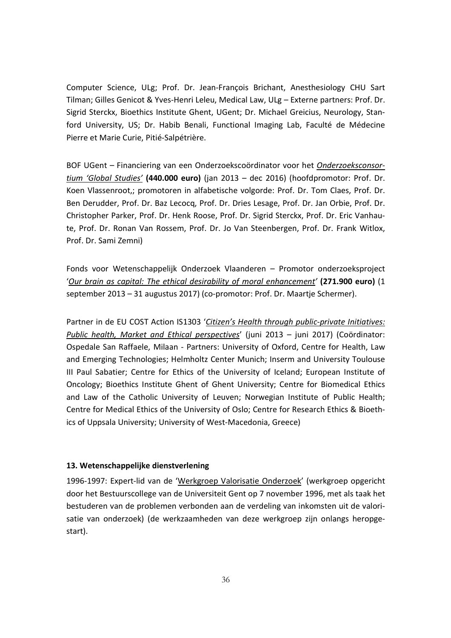Computer Science, ULg; Prof. Dr. Jean-François Brichant, Anesthesiology CHU Sart Tilman; Gilles Genicot & Yves-Henri Leleu, Medical Law, ULg – Externe partners: Prof. Dr. Sigrid Sterckx, Bioethics Institute Ghent, UGent; Dr. Michael Greicius, Neurology, Stanford University, US; Dr. Habib Benali, Functional Imaging Lab, Faculté de Médecine Pierre et Marie Curie, Pitié-Salpétrière.

BOF UGent – Financiering van een Onderzoekscoördinator voor het *Onderzoeksconsortium 'Global Studies'* **(440.000 euro)** (jan 2013 – dec 2016) (hoofdpromotor: Prof. Dr. Koen Vlassenroot,; promotoren in alfabetische volgorde: Prof. Dr. Tom Claes, Prof. Dr. Ben Derudder, Prof. Dr. Baz Lecocq, Prof. Dr. Dries Lesage, Prof. Dr. Jan Orbie, Prof. Dr. Christopher Parker, Prof. Dr. Henk Roose, Prof. Dr. Sigrid Sterckx, Prof. Dr. Eric Vanhaute, Prof. Dr. Ronan Van Rossem, Prof. Dr. Jo Van Steenbergen, Prof. Dr. Frank Witlox, Prof. Dr. Sami Zemni)

Fonds voor Wetenschappelijk Onderzoek Vlaanderen – Promotor onderzoeksproject '*Our brain as capital: The ethical desirability of moral enhancement'* **(271.900 euro)** (1 september 2013 – 31 augustus 2017) (co-promotor: Prof. Dr. Maartje Schermer).

Partner in de EU COST Action IS1303 '*Citizen's Health through public-private Initiatives: Public health, Market and Ethical perspectives*' (juni 2013 – juni 2017) (Coördinator: Ospedale San Raffaele, Milaan - Partners: University of Oxford, Centre for Health, Law and Emerging Technologies; Helmholtz Center Munich; Inserm and University Toulouse III Paul Sabatier; Centre for Ethics of the University of Iceland; European Institute of Oncology; Bioethics Institute Ghent of Ghent University; Centre for Biomedical Ethics and Law of the Catholic University of Leuven; Norwegian Institute of Public Health; Centre for Medical Ethics of the University of Oslo; Centre for Research Ethics & Bioethics of Uppsala University; University of West-Macedonia, Greece)

#### **13. Wetenschappelijke dienstverlening**

1996-1997: Expert-lid van de 'Werkgroep Valorisatie Onderzoek' (werkgroep opgericht door het Bestuurscollege van de Universiteit Gent op 7 november 1996, met als taak het bestuderen van de problemen verbonden aan de verdeling van inkomsten uit de valorisatie van onderzoek) (de werkzaamheden van deze werkgroep zijn onlangs heropgestart).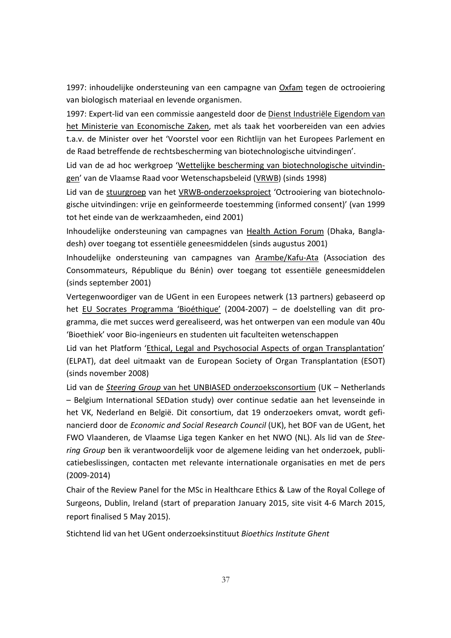1997: inhoudelijke ondersteuning van een campagne van Oxfam tegen de octrooiering van biologisch materiaal en levende organismen.

1997: Expert-lid van een commissie aangesteld door de Dienst Industriële Eigendom van het Ministerie van Economische Zaken, met als taak het voorbereiden van een advies t.a.v. de Minister over het 'Voorstel voor een Richtlijn van het Europees Parlement en de Raad betreffende de rechtsbescherming van biotechnologische uitvindingen'.

Lid van de ad hoc werkgroep 'Wettelijke bescherming van biotechnologische uitvindingen' van de Vlaamse Raad voor Wetenschapsbeleid (VRWB) (sinds 1998)

Lid van de stuurgroep van het VRWB-onderzoeksproject 'Octrooiering van biotechnologische uitvindingen: vrije en geïnformeerde toestemming (informed consent)' (van 1999 tot het einde van de werkzaamheden, eind 2001)

Inhoudelijke ondersteuning van campagnes van Health Action Forum (Dhaka, Bangladesh) over toegang tot essentiële geneesmiddelen (sinds augustus 2001)

Inhoudelijke ondersteuning van campagnes van Arambe/Kafu-Ata (Association des Consommateurs, République du Bénin) over toegang tot essentiële geneesmiddelen (sinds september 2001)

Vertegenwoordiger van de UGent in een Europees netwerk (13 partners) gebaseerd op het EU Socrates Programma 'Bioéthique' (2004-2007) – de doelstelling van dit programma, die met succes werd gerealiseerd, was het ontwerpen van een module van 40u 'Bioethiek' voor Bio-ingenieurs en studenten uit faculteiten wetenschappen

Lid van het Platform 'Ethical, Legal and Psychosocial Aspects of organ Transplantation' (ELPAT), dat deel uitmaakt van de European Society of Organ Transplantation (ESOT) (sinds november 2008)

Lid van de *Steering Group* van het UNBIASED onderzoeksconsortium (UK – Netherlands – Belgium International SEDation study) over continue sedatie aan het levenseinde in het VK, Nederland en België. Dit consortium, dat 19 onderzoekers omvat, wordt gefinancierd door de *Economic and Social Research Council* (UK), het BOF van de UGent, het FWO Vlaanderen, de Vlaamse Liga tegen Kanker en het NWO (NL). Als lid van de *Steering Group* ben ik verantwoordelijk voor de algemene leiding van het onderzoek, publicatiebeslissingen, contacten met relevante internationale organisaties en met de pers (2009-2014)

Chair of the Review Panel for the MSc in Healthcare Ethics & Law of the Royal College of Surgeons, Dublin, Ireland (start of preparation January 2015, site visit 4-6 March 2015, report finalised 5 May 2015).

Stichtend lid van het UGent onderzoeksinstituut *Bioethics Institute Ghent*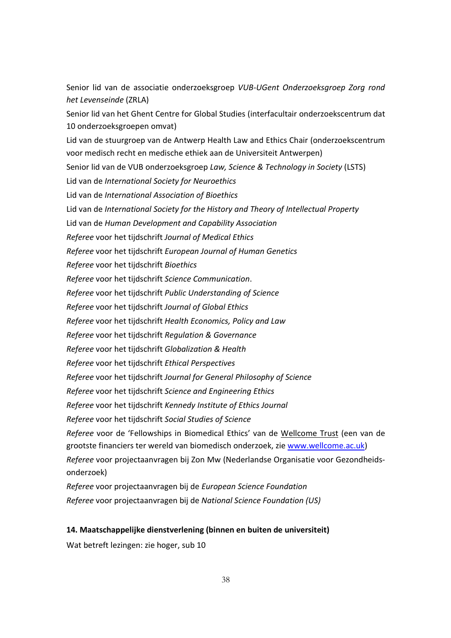Senior lid van de associatie onderzoeksgroep *VUB-UGent Onderzoeksgroep Zorg rond het Levenseinde* (ZRLA) Senior lid van het Ghent Centre for Global Studies (interfacultair onderzoekscentrum dat 10 onderzoeksgroepen omvat) Lid van de stuurgroep van de Antwerp Health Law and Ethics Chair (onderzoekscentrum voor medisch recht en medische ethiek aan de Universiteit Antwerpen) Senior lid van de VUB onderzoeksgroep *Law, Science & Technology in Society* (LSTS) Lid van de *International Society for Neuroethics*  Lid van de *International Association of Bioethics*  Lid van de *International Society for the History and Theory of Intellectual Property* Lid van de *Human Development and Capability Association Referee* voor het tijdschrift *Journal of Medical Ethics Referee* voor het tijdschrift *European Journal of Human Genetics Referee* voor het tijdschrift *Bioethics Referee* voor het tijdschrift *Science Communication*. *Referee* voor het tijdschrift *Public Understanding of Science Referee* voor het tijdschrift *Journal of Global Ethics Referee* voor het tijdschrift *Health Economics, Policy and Law Referee* voor het tijdschrift *Regulation & Governance Referee* voor het tijdschrift *Globalization & Health Referee* voor het tijdschrift *Ethical Perspectives Referee* voor het tijdschrift *Journal for General Philosophy of Science Referee* voor het tijdschrift *Science and Engineering Ethics Referee* voor het tijdschrift *Kennedy Institute of Ethics Journal Referee* voor het tijdschrift *Social Studies of Science Referee* voor de 'Fellowships in Biomedical Ethics' van de Wellcome Trust (een van de grootste financiers ter wereld van biomedisch onderzoek, zie www.wellcome.ac.uk) *Referee* voor projectaanvragen bij Zon Mw (Nederlandse Organisatie voor Gezondheidsonderzoek) *Referee* voor projectaanvragen bij de *European Science Foundation Referee* voor projectaanvragen bij de *National Science Foundation (US)* 

## **14. Maatschappelijke dienstverlening (binnen en buiten de universiteit)**

Wat betreft lezingen: zie hoger, sub 10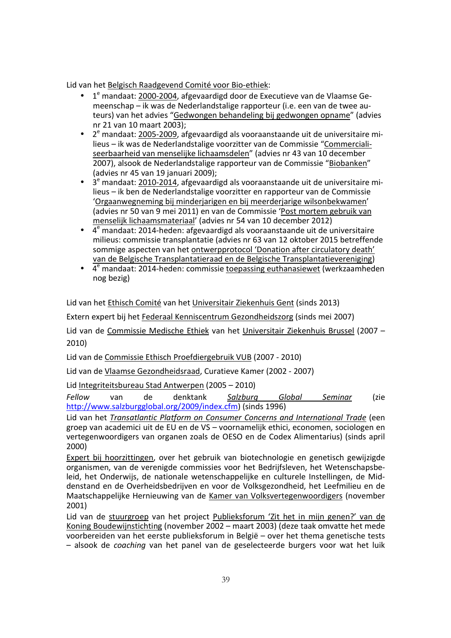Lid van het Belgisch Raadgevend Comité voor Bio-ethiek:

- $\bullet$ <sup>e</sup> mandaat: <u>2000-2004</u>, afgevaardigd door de Executieve van de Vlaamse Gemeenschap – ik was de Nederlandstalige rapporteur (i.e. een van de twee auteurs) van het advies "Gedwongen behandeling bij gedwongen opname" (advies nr 21 van 10 maart 2003);
- $\bullet$  2<sup>e</sup> mandaat: 2005-2009, afgevaardigd als vooraanstaande uit de universitaire milieus – ik was de Nederlandstalige voorzitter van de Commissie "Commercialiseerbaarheid van menselijke lichaamsdelen" (advies nr 43 van 10 december 2007), alsook de Nederlandstalige rapporteur van de Commissie "Biobanken" (advies nr 45 van 19 januari 2009);
- $\bullet$  3<sup>e</sup> mandaat: 2010-2014, afgevaardigd als vooraanstaande uit de universitaire milieus – ik ben de Nederlandstalige voorzitter en rapporteur van de Commissie 'Orgaanwegneming bij minderjarigen en bij meerderjarige wilsonbekwamen' (advies nr 50 van 9 mei 2011) en van de Commissie 'Post mortem gebruik van menselijk lichaamsmateriaal' (advies nr 54 van 10 december 2012)
- $\bullet$   $\overline{4^e}$  mandaat: 2014-heden: afgevaardigd als vooraanstaande uit de universitaire milieus: commissie transplantatie (advies nr 63 van 12 oktober 2015 betreffende sommige aspecten van het ontwerpprotocol 'Donation after circulatory death' van de Belgische Transplantatieraad en de Belgische Transplantatievereniging)
- 4 e mandaat: 2014-heden: commissie toepassing euthanasiewet (werkzaamheden nog bezig)

Lid van het Ethisch Comité van het Universitair Ziekenhuis Gent (sinds 2013)

Extern expert bij het Federaal Kenniscentrum Gezondheidszorg (sinds mei 2007)

Lid van de Commissie Medische Ethiek van het Universitair Ziekenhuis Brussel (2007 – 2010)

Lid van de Commissie Ethisch Proefdiergebruik VUB (2007 - 2010)

Lid van de Vlaamse Gezondheidsraad, Curatieve Kamer (2002 - 2007)

Lid Integriteitsbureau Stad Antwerpen (2005 – 2010)

*Fellow* van de denktank *Salzburg Global Seminar* (zie http://www.salzburgglobal.org/2009/index.cfm) (sinds 1996)

Lid van het *Transatlantic Platform on Consumer Concerns and International Trade* (een groep van academici uit de EU en de VS – voornamelijk ethici, economen, sociologen en vertegenwoordigers van organen zoals de OESO en de Codex Alimentarius) (sinds april 2000)

Expert bij hoorzittingen, over het gebruik van biotechnologie en genetisch gewijzigde organismen, van de verenigde commissies voor het Bedrijfsleven, het Wetenschapsbeleid, het Onderwijs, de nationale wetenschappelijke en culturele Instellingen, de Middenstand en de Overheidsbedrijven en voor de Volksgezondheid, het Leefmilieu en de Maatschappelijke Hernieuwing van de Kamer van Volksvertegenwoordigers (november 2001)

Lid van de stuurgroep van het project Publieksforum 'Zit het in mijn genen?' van de Koning Boudewijnstichting (november 2002 – maart 2003) (deze taak omvatte het mede voorbereiden van het eerste publieksforum in België – over het thema genetische tests – alsook de *coaching* van het panel van de geselecteerde burgers voor wat het luik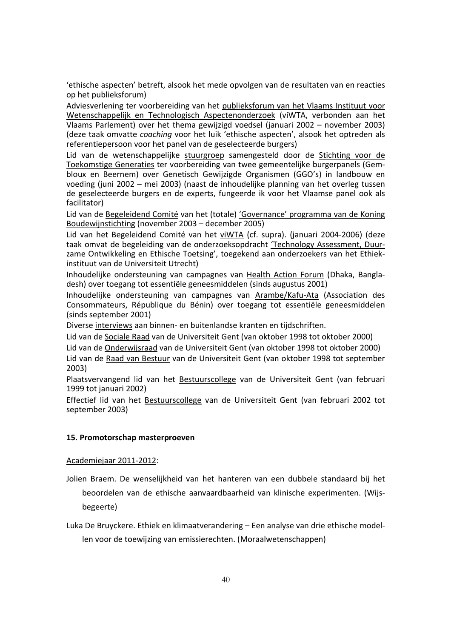'ethische aspecten' betreft, alsook het mede opvolgen van de resultaten van en reacties op het publieksforum)

Adviesverlening ter voorbereiding van het publieksforum van het Vlaams Instituut voor Wetenschappelijk en Technologisch Aspectenonderzoek (viWTA, verbonden aan het Vlaams Parlement) over het thema gewijzigd voedsel (januari 2002 – november 2003) (deze taak omvatte *coaching* voor het luik 'ethische aspecten', alsook het optreden als referentiepersoon voor het panel van de geselecteerde burgers)

Lid van de wetenschappelijke stuurgroep samengesteld door de Stichting voor de Toekomstige Generaties ter voorbereiding van twee gemeentelijke burgerpanels (Gembloux en Beernem) over Genetisch Gewijzigde Organismen (GGO's) in landbouw en voeding (juni 2002 – mei 2003) (naast de inhoudelijke planning van het overleg tussen de geselecteerde burgers en de experts, fungeerde ik voor het Vlaamse panel ook als facilitator)

Lid van de Begeleidend Comité van het (totale) 'Governance' programma van de Koning Boudewijnstichting (november 2003 – december 2005)

Lid van het Begeleidend Comité van het viWTA (cf. supra). (januari 2004-2006) (deze taak omvat de begeleiding van de onderzoeksopdracht 'Technology Assessment, Duurzame Ontwikkeling en Ethische Toetsing', toegekend aan onderzoekers van het Ethiekinstituut van de Universiteit Utrecht)

Inhoudelijke ondersteuning van campagnes van Health Action Forum (Dhaka, Bangladesh) over toegang tot essentiële geneesmiddelen (sinds augustus 2001)

Inhoudelijke ondersteuning van campagnes van Arambe/Kafu-Ata (Association des Consommateurs, République du Bénin) over toegang tot essentiële geneesmiddelen (sinds september 2001)

Diverse interviews aan binnen- en buitenlandse kranten en tijdschriften.

Lid van de Sociale Raad van de Universiteit Gent (van oktober 1998 tot oktober 2000)

Lid van de Onderwijsraad van de Universiteit Gent (van oktober 1998 tot oktober 2000)

Lid van de Raad van Bestuur van de Universiteit Gent (van oktober 1998 tot september 2003)

Plaatsvervangend lid van het Bestuurscollege van de Universiteit Gent (van februari 1999 tot januari 2002)

Effectief lid van het Bestuurscollege van de Universiteit Gent (van februari 2002 tot september 2003)

#### **15. Promotorschap masterproeven**

Academiejaar 2011-2012:

Jolien Braem. De wenselijkheid van het hanteren van een dubbele standaard bij het beoordelen van de ethische aanvaardbaarheid van klinische experimenten. (Wijsbegeerte)

Luka De Bruyckere. Ethiek en klimaatverandering – Een analyse van drie ethische modellen voor de toewijzing van emissierechten. (Moraalwetenschappen)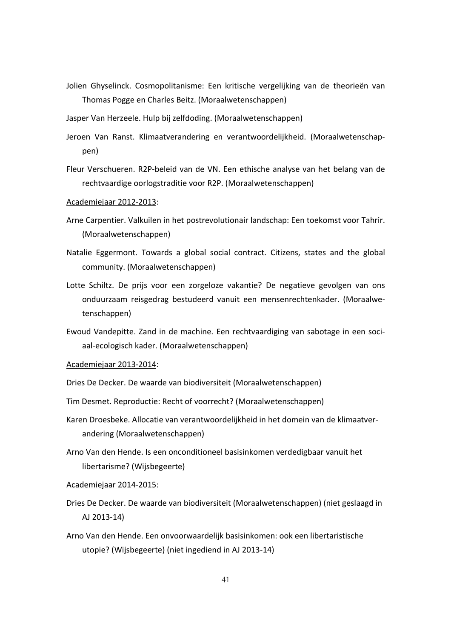- Jolien Ghyselinck. Cosmopolitanisme: Een kritische vergelijking van de theorieën van Thomas Pogge en Charles Beitz. (Moraalwetenschappen)
- Jasper Van Herzeele. Hulp bij zelfdoding. (Moraalwetenschappen)
- Jeroen Van Ranst. Klimaatverandering en verantwoordelijkheid. (Moraalwetenschappen)
- Fleur Verschueren. R2P-beleid van de VN. Een ethische analyse van het belang van de rechtvaardige oorlogstraditie voor R2P. (Moraalwetenschappen)
- Academiejaar 2012-2013:
- Arne Carpentier. Valkuilen in het postrevolutionair landschap: Een toekomst voor Tahrir. (Moraalwetenschappen)
- Natalie Eggermont. Towards a global social contract. Citizens, states and the global community. (Moraalwetenschappen)
- Lotte Schiltz. De prijs voor een zorgeloze vakantie? De negatieve gevolgen van ons onduurzaam reisgedrag bestudeerd vanuit een mensenrechtenkader. (Moraalwetenschappen)
- Ewoud Vandepitte. Zand in de machine. Een rechtvaardiging van sabotage in een sociaal-ecologisch kader. (Moraalwetenschappen)

#### Academiejaar 2013-2014:

Dries De Decker. De waarde van biodiversiteit (Moraalwetenschappen)

- Tim Desmet. Reproductie: Recht of voorrecht? (Moraalwetenschappen)
- Karen Droesbeke. Allocatie van verantwoordelijkheid in het domein van de klimaatverandering (Moraalwetenschappen)
- Arno Van den Hende. Is een onconditioneel basisinkomen verdedigbaar vanuit het libertarisme? (Wijsbegeerte)

#### Academiejaar 2014-2015:

- Dries De Decker. De waarde van biodiversiteit (Moraalwetenschappen) (niet geslaagd in AJ 2013-14)
- Arno Van den Hende. Een onvoorwaardelijk basisinkomen: ook een libertaristische utopie? (Wijsbegeerte) (niet ingediend in AJ 2013-14)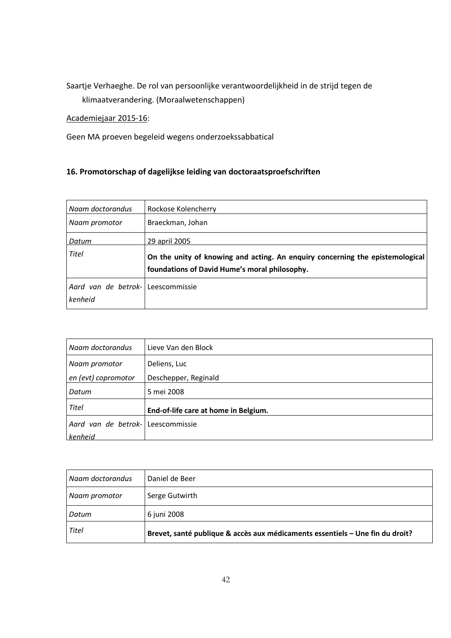# Saartje Verhaeghe. De rol van persoonlijke verantwoordelijkheid in de strijd tegen de klimaatverandering. (Moraalwetenschappen)

## Academiejaar 2015-16:

Geen MA proeven begeleid wegens onderzoekssabbatical

# **16. Promotorschap of dagelijkse leiding van doctoraatsproefschriften**

| Naam doctorandus                             | Rockose Kolencherry                                                                                                            |
|----------------------------------------------|--------------------------------------------------------------------------------------------------------------------------------|
| Naam promotor                                | Braeckman, Johan                                                                                                               |
| Datum                                        | 29 april 2005                                                                                                                  |
| Titel                                        | On the unity of knowing and acting. An enquiry concerning the epistemological<br>foundations of David Hume's moral philosophy. |
| Aard van de betrok- Leescommissie<br>kenheid |                                                                                                                                |

| Naam doctorandus                  | Lieve Van den Block                  |
|-----------------------------------|--------------------------------------|
| Naam promotor                     | Deliens, Luc                         |
| en (evt) copromotor               | Deschepper, Reginald                 |
| Datum                             | 5 mei 2008                           |
| Titel                             | End-of-life care at home in Belgium. |
| Aard van de betrok- Leescommissie |                                      |
| kenheid                           |                                      |

| Naam doctorandus | Daniel de Beer                                                                |
|------------------|-------------------------------------------------------------------------------|
| Naam promotor    | Serge Gutwirth                                                                |
| Datum            | 6 juni 2008                                                                   |
| Titel            | Brevet, santé publique & accès aux médicaments essentiels - Une fin du droit? |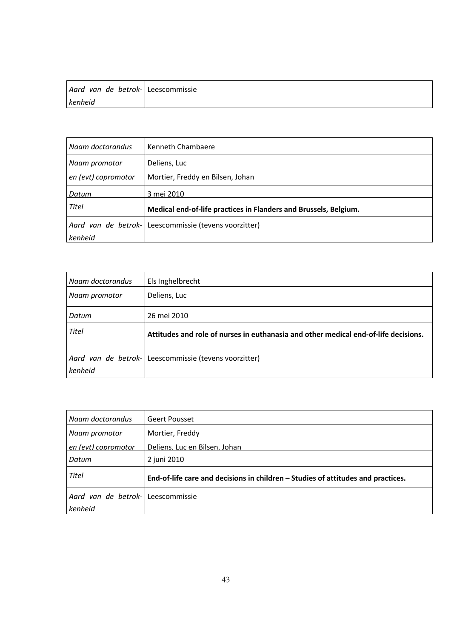| Aard van de betrok- Leescommissie |  |
|-----------------------------------|--|
| kenheid                           |  |

| Naam doctorandus    | Kenneth Chambaere                                                |
|---------------------|------------------------------------------------------------------|
| Naam promotor       | Deliens, Luc                                                     |
| en (evt) copromotor | Mortier, Freddy en Bilsen, Johan                                 |
| Datum               | 3 mei 2010                                                       |
| Titel               | Medical end-of-life practices in Flanders and Brussels, Belgium. |
|                     | Aard van de betrok- Leescommissie (tevens voorzitter)            |
| kenheid             |                                                                  |

| Naam doctorandus | Els Inghelbrecht                                                                    |
|------------------|-------------------------------------------------------------------------------------|
| Naam promotor    | Deliens, Luc                                                                        |
| Datum            | 26 mei 2010                                                                         |
| Titel            | Attitudes and role of nurses in euthanasia and other medical end-of-life decisions. |
| kenheid          | Aard van de betrok- Leescommissie (tevens voorzitter)                               |

| Naam doctorandus                  | Geert Pousset                                                                    |
|-----------------------------------|----------------------------------------------------------------------------------|
| Naam promotor                     | Mortier, Freddy                                                                  |
| en (evt) copromotor               | Deliens, Luc en Bilsen, Johan                                                    |
| Datum                             | 2 juni 2010                                                                      |
| Titel                             | End-of-life care and decisions in children - Studies of attitudes and practices. |
| Aard van de betrok- Leescommissie |                                                                                  |
| kenheid                           |                                                                                  |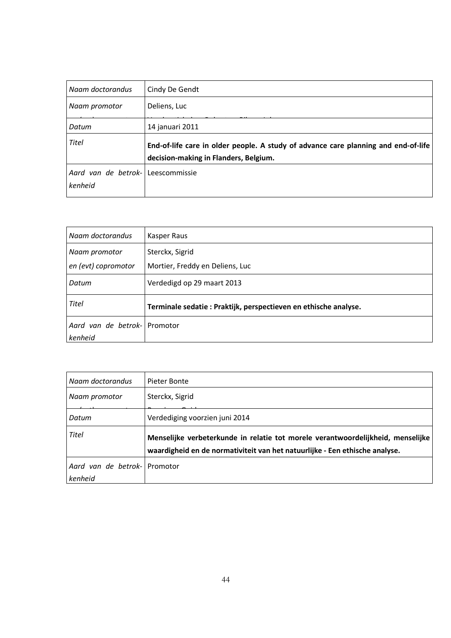| Naam doctorandus               | Cindy De Gendt                                                                                                              |
|--------------------------------|-----------------------------------------------------------------------------------------------------------------------------|
| Naam promotor                  | Deliens, Luc                                                                                                                |
| Datum                          | 14 januari 2011                                                                                                             |
| Titel                          | End-of-life care in older people. A study of advance care planning and end-of-life<br>decision-making in Flanders, Belgium. |
| Aard van de betrok-<br>kenheid | Leescommissie                                                                                                               |

| Naam doctorandus             | Kasper Raus                                                      |
|------------------------------|------------------------------------------------------------------|
| Naam promotor                | Sterckx, Sigrid                                                  |
| en (evt) copromotor          | Mortier, Freddy en Deliens, Luc                                  |
| Datum                        | Verdedigd op 29 maart 2013                                       |
| Titel                        | Terminale sedatie : Praktijk, perspectieven en ethische analyse. |
| Aard van de betrok- Promotor |                                                                  |
| kenheid                      |                                                                  |

| l Naam doctorandus                      | Pieter Bonte                                                                                                                                                   |
|-----------------------------------------|----------------------------------------------------------------------------------------------------------------------------------------------------------------|
| Naam promotor                           | Sterckx, Sigrid                                                                                                                                                |
| Datum                                   | Verdediging voorzien juni 2014                                                                                                                                 |
| Titel                                   | Menselijke verbeterkunde in relatie tot morele verantwoordelijkheid, menselijke<br>waardigheid en de normativiteit van het natuurlijke - Een ethische analyse. |
| Aard van de betrok- Promotor<br>kenheid |                                                                                                                                                                |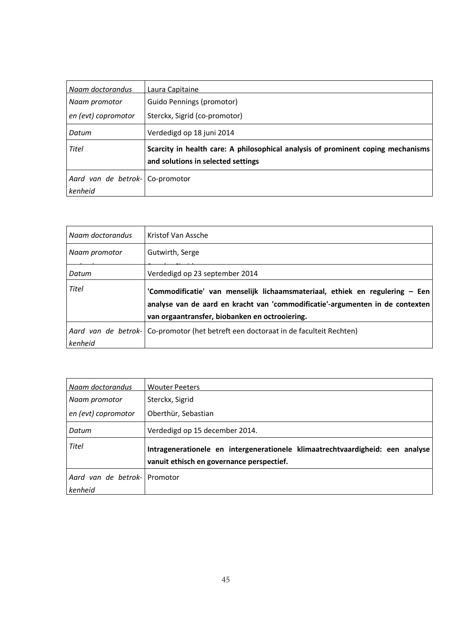| Naam doctorandus    | Laura Capitaine                                                                  |
|---------------------|----------------------------------------------------------------------------------|
| Naam promotor       | Guido Pennings (promotor)                                                        |
| en (evt) copromotor | Sterckx, Sigrid (co-promotor)                                                    |
| Datum               | Verdedigd op 18 juni 2014                                                        |
| Titel               | Scarcity in health care: A philosophical analysis of prominent coping mechanisms |
|                     | and solutions in selected settings                                               |
| Aard van de betrok- | Co-promotor                                                                      |
| kenheid             |                                                                                  |

| Naam doctorandus               | Kristof Van Assche                                                                                                                                                                                              |
|--------------------------------|-----------------------------------------------------------------------------------------------------------------------------------------------------------------------------------------------------------------|
| Naam promotor                  | Gutwirth, Serge                                                                                                                                                                                                 |
| Datum                          | Verdedigd op 23 september 2014                                                                                                                                                                                  |
| Titel                          | 'Commodificatie' van menselijk lichaamsmateriaal, ethiek en regulering - Een<br>analyse van de aard en kracht van 'commodificatie'-argumenten in de contexten<br>van orgaantransfer, biobanken en octrooiering. |
| Aard van de betrok-<br>kenheid | Co-promotor (het betreft een doctoraat in de faculteit Rechten)                                                                                                                                                 |

| Naam doctorandus             | <b>Wouter Peeters</b>                                                         |
|------------------------------|-------------------------------------------------------------------------------|
| Naam promotor                | Sterckx, Sigrid                                                               |
| en (evt) copromotor          | Oberthür, Sebastian                                                           |
| Datum                        | Verdedigd op 15 december 2014.                                                |
| Titel                        | Intragenerationele en intergenerationele klimaatrechtvaardigheid: een analyse |
|                              | vanuit ethisch en governance perspectief.                                     |
| Aard van de betrok-IPromotor |                                                                               |
| kenheid                      |                                                                               |